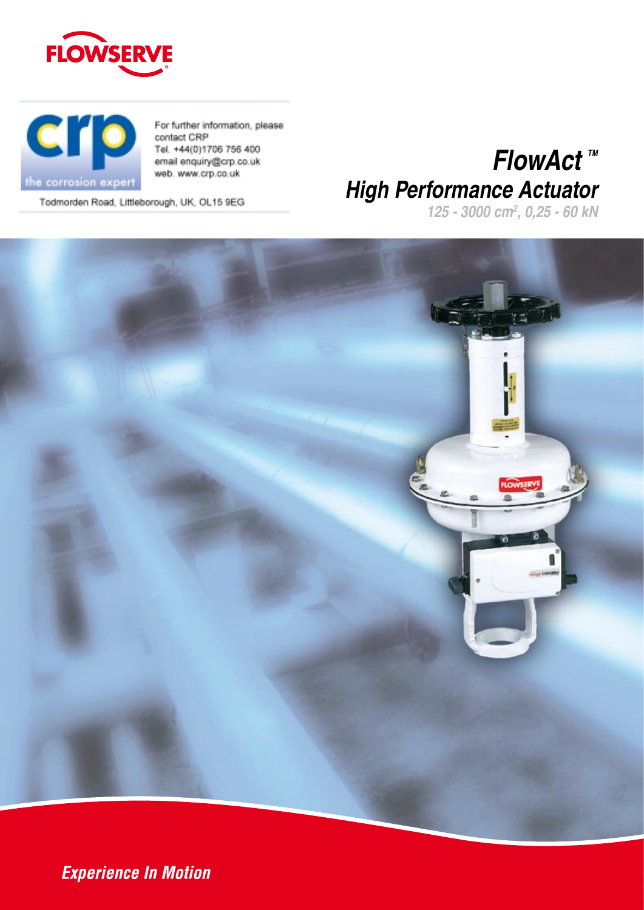



For further information, please contact CRP Tel. +44(0)1706 756 400 email enquiry@crp.co.uk web. www.crp.co.uk

*FlowAct*™ *High Performance Actuator*

Todmorden Road, Littleborough, UK, OL15 9EG





**Experience In Motion**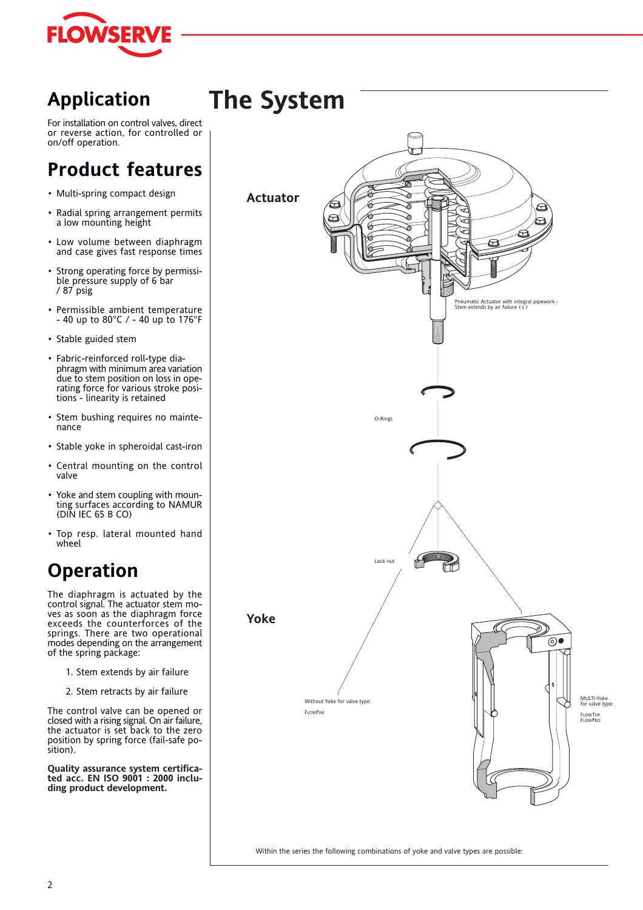

## **Application**

For installation on control valves, direct or reverse action, for controlled or on/off operation.

## **Product features**

- Multi-spring compact design
- Radial spring arrangement permits a low mounting height
- Low volume between diaphragm and case gives fast response times
- Strong operating force by permissible pressure supply of 6 bar / 87 psig
- Permissible ambient temperature - 40 up to 80°C / - 40 up to 176°F
- Stable guided stem
- Fabric-reinforced roll-type diaphragm with minimum area variation due to stem position on loss in operating force for various stroke positions - linearity is retained
- Stem bushing requires no maintenance
- Stable yoke in spheroidal cast-iron
- Central mounting on the control valve
- Yoke and stem coupling with mounting surfaces according to NAMUR (DIN IEC 65 B CO)
- Top resp. lateral mounted hand wheel

## **Operation**

The diaphragm is actuated by the control signal. The actuator stem moves as soon as the diaphragm force exceeds the counterforces of the springs. There are two operational modes depending on the arrangement of the spring package:

- 1. Stem extends by air failure
- 2. Stem retracts by air failure

The control valve can be opened or closed with a rising signal. On air failure, the actuator is set back to the zero position by spring force (fail-safe position).

**Quality assurance system certificated acc. EN ISO 9001 : 2000 including product development.**



Within the series the following combinations of yoke and valve types are possible: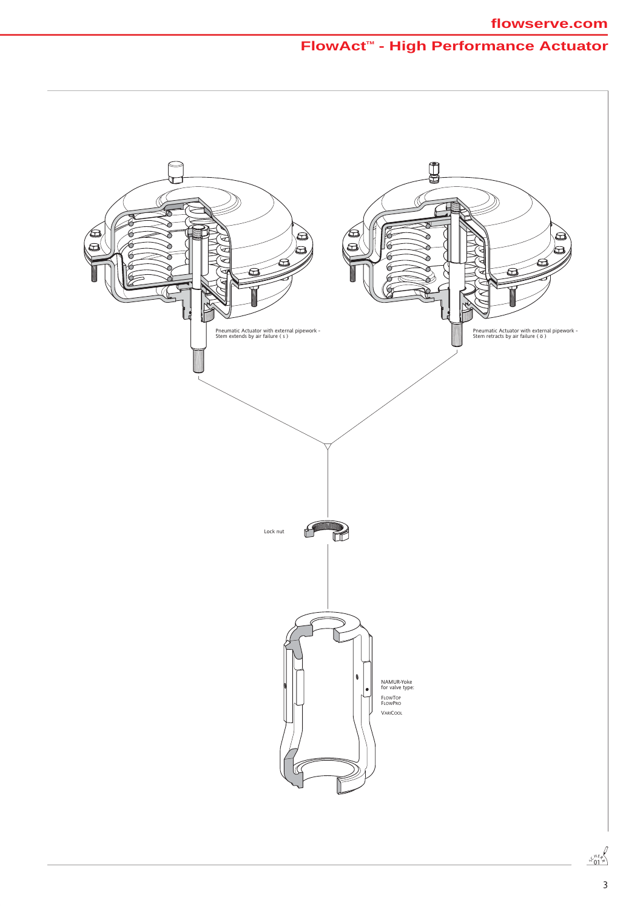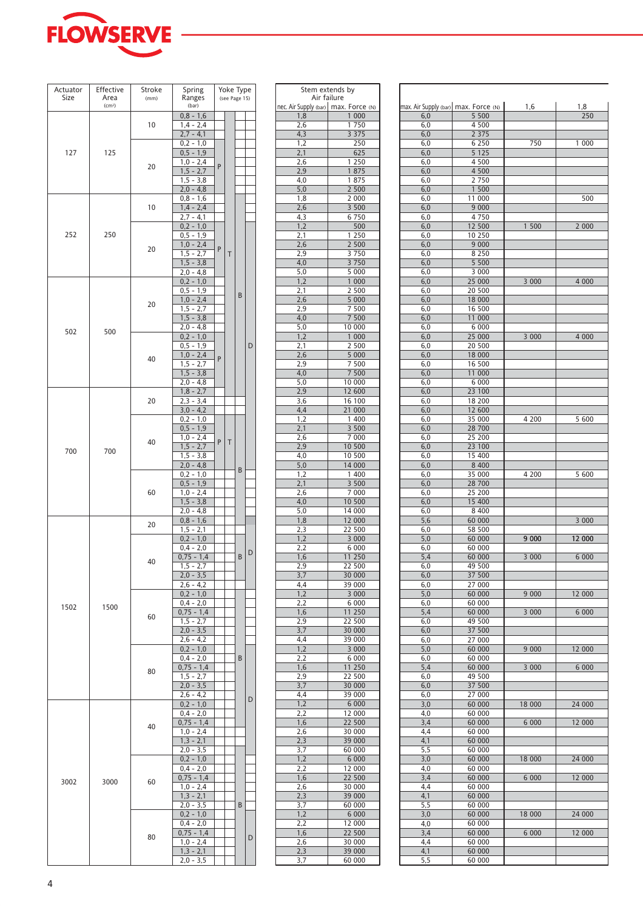

| Actuator<br>Size | Effective<br>Area  | Stroke<br>(mm) | Spring<br>Ranges              |   | Yoke Type<br>(see Page 15) |   |   |
|------------------|--------------------|----------------|-------------------------------|---|----------------------------|---|---|
|                  | (cm <sup>2</sup> ) |                | (bar)                         |   |                            |   |   |
|                  |                    |                | $0,8 - 1,6$                   |   |                            |   |   |
|                  |                    | 10             | $1,4 - 2,4$<br>$2,7 - 4,1$    |   |                            |   |   |
|                  |                    |                | $0.2 - 1.0$                   |   |                            |   |   |
| 127              | 125                |                | $0,5 - 1,9$                   |   |                            |   |   |
|                  |                    | 20             | $1,0 - 2,4$                   | P |                            |   |   |
|                  |                    |                | $1, 5 - 2, 7$                 |   |                            |   |   |
|                  |                    |                | $1,5 - 3,8$<br>$2,0 - 4,8$    |   |                            |   |   |
|                  |                    |                | $0.8 - 1.6$                   |   |                            |   |   |
|                  |                    | 10             | $1,4 - 2,4$                   |   |                            |   |   |
|                  |                    |                | $2,7 - 4,1$                   |   |                            |   |   |
|                  |                    |                | $0,2 - 1,0$                   |   |                            |   |   |
| 252              | 250                |                | $0,5 - 1,9$<br>$1,0 - 2,4$    |   |                            |   |   |
|                  |                    | 20             | $1,5 - 2,7$                   | P | T                          |   |   |
|                  |                    |                | $1,5 - 3,8$                   |   |                            |   |   |
|                  |                    |                | 2,0 - 4,8                     |   |                            |   |   |
|                  |                    |                | $0,2 - 1,0$                   |   |                            |   |   |
|                  |                    |                | $0,5 - 1,9$<br>$1,0 - 2,4$    |   |                            | B |   |
|                  |                    | 20             | $1,5 - 2,7$                   |   |                            |   |   |
|                  |                    |                | $1,5 - 3,8$                   |   |                            |   |   |
| 502              | 500                |                | $2,0 - 4,8$                   |   |                            |   |   |
|                  |                    |                | $0,2 - 1,0$                   |   |                            |   |   |
|                  |                    |                | $0,5 - 1,9$<br>$1,0 - 2,4$    |   |                            |   | D |
|                  |                    | 40             | $1,5 - 2,7$                   | P |                            |   |   |
|                  |                    |                | $1,5 - 3,8$                   |   |                            |   |   |
|                  |                    |                | 2,0 - 4,8                     |   |                            |   |   |
|                  |                    |                | $1,8 - 2,7$                   |   |                            |   |   |
|                  |                    | 20             | $2,3 - 3,4$<br>$3,0 - 4,2$    |   |                            |   |   |
|                  |                    |                | $0,2 - 1,0$                   |   |                            |   |   |
|                  |                    |                | $0,5 - 1,9$                   |   |                            |   |   |
|                  |                    | 40             | $1,0 - 2,4$                   | P | Τ                          |   |   |
| 700              | 700                |                | $1,5 - 2,7$                   |   |                            |   |   |
|                  |                    |                | $1,5 - 3,8$<br>$2,0 - 4,8$    |   |                            |   |   |
|                  |                    |                | $0,2 - 1,0$                   |   |                            | B |   |
|                  |                    |                | $0,5 - 1,9$                   |   |                            |   |   |
|                  |                    | 60             | $1,0 - 2,4$                   |   |                            |   |   |
|                  |                    |                | $1,5 - 3,8$<br>$2,0 - 4,8$    |   |                            |   |   |
|                  |                    |                | $0,8 - 1,6$                   |   |                            |   |   |
|                  |                    | 20             | 1,5 - 2,1                     |   |                            |   |   |
|                  |                    |                | $0,2 - 1,0$                   |   |                            |   |   |
|                  |                    |                | $0,4 - 2,0$                   |   |                            |   | D |
|                  |                    | 40             | $0,75 - 1,4$<br>$1, 5 - 2, 7$ |   |                            | B |   |
|                  |                    |                | $2,0 - 3,5$                   |   |                            |   |   |
|                  |                    |                | $2,6 - 4,2$                   |   |                            |   |   |
|                  |                    |                | $0,2 - 1,0$                   |   |                            |   |   |
| 1502             | 1500               |                | $0,4 - 2,0$<br>$0,75 - 1,4$   |   |                            |   |   |
|                  |                    | 60             | $1,5 - 2,7$                   |   |                            |   |   |
|                  |                    |                | $2,0 - 3,5$                   |   |                            |   |   |
|                  |                    |                | $2,6 - 4,2$                   |   |                            |   |   |
|                  |                    |                | $0,2 - 1,0$<br>$0.4 - 2.0$    |   |                            |   |   |
|                  |                    |                | $0,75 - 1,4$                  |   |                            | В |   |
|                  |                    | 80             | $1,5 - 2,7$                   |   |                            |   |   |
|                  |                    |                | $2,0 - 3,5$                   |   |                            |   |   |
|                  |                    |                | $2,6 - 4,2$                   |   |                            |   | D |
|                  |                    |                | $0,2 - 1,0$<br>$0,4 - 2,0$    |   |                            |   |   |
|                  |                    |                | $0,75 - 1,4$                  |   |                            |   |   |
|                  |                    | 40             | $1,0 - 2,4$                   |   |                            |   |   |
|                  |                    |                | $1,3 - 2,1$                   |   |                            |   |   |
|                  |                    |                | $2,0 - 3,5$                   |   |                            |   |   |
|                  |                    |                | $0,2 - 1,0$<br>$0,4 - 2,0$    |   |                            |   |   |
|                  |                    |                | $0,75 - 1,4$                  |   |                            |   |   |
| 3002             | 3000               | 60             | $1,0 - 2,4$                   |   |                            |   |   |
|                  |                    |                | $1,3 - 2,1$                   |   |                            |   |   |
|                  |                    |                | $2,0 - 3,5$                   |   |                            | B |   |
|                  |                    |                | $0,2 - 1,0$<br>$0,4 - 2,0$    |   |                            |   |   |
|                  |                    |                | $0,75 - 1,4$                  |   |                            |   |   |
|                  |                    | 80             | $1,0 - 2,4$                   |   |                            |   | D |
|                  |                    |                | $1,3 - 2,1$                   |   |                            |   |   |
|                  |                    |                | $2,0 - 3,5$                   |   |                            |   |   |

| Spring                     |   | Yoke Type     |   |   | Stem extends by                        |                  |     |                                      |  |
|----------------------------|---|---------------|---|---|----------------------------------------|------------------|-----|--------------------------------------|--|
| Ranges                     |   | (see Page 15) |   |   | Air failure                            |                  |     |                                      |  |
| (bar)                      |   |               |   |   | nec. Air Supply (bar)   max. Force (N) |                  |     | max. Air Supply (bar) max. Force (N) |  |
| $0,8 - 1,6$                |   |               |   |   | 1,8                                    | 1 000            | 6,0 | 5 500                                |  |
| 1,4 - 2,4                  |   |               |   |   | 2,6                                    | 1750             | 6,0 | 4 500                                |  |
| $2,7 - 4,1$                |   |               |   |   | 4,3                                    | 3 3 7 5          | 6,0 | 2 3 7 5                              |  |
| $0.2 - 1.0$                |   |               |   |   | 1,2                                    | 250              | 6,0 | 6 2 5 0                              |  |
| $0,5 - 1,9$                |   |               |   |   | 2,1                                    | 625              | 6,0 | 5 1 2 5                              |  |
| $1.0 - 2.4$                | P |               |   |   | 2,6                                    | 1 250            | 6,0 | 4 500                                |  |
| $1,5 - 2,7$                |   |               |   |   | 2,9                                    | 1875             | 6,0 | 4 500                                |  |
| 1,5 - 3,8                  |   |               |   |   | 4,0                                    | 1875             | 6,0 | 2750                                 |  |
| $2,0 - 4,8$                |   |               |   |   | 5,0                                    | 2 500            | 6,0 | 1 500                                |  |
| 0,8 - 1,6                  |   |               |   |   | 1,8                                    | 2 000            | 6,0 | 11 000                               |  |
| $1,4 - 2,4$                |   |               |   |   | 2,6                                    | 3 500            | 6,0 | 9 0 0 0                              |  |
| $2,7 - 4,1$                |   |               |   |   | 4,3                                    | 6 7 5 0          | 6,0 | 4750                                 |  |
| $0,2 - 1,0$                |   |               |   |   | 1,2                                    | 500              | 6,0 | 12 500                               |  |
| $0.5 - 1.9$                |   |               |   |   | 2,1                                    | 1 2 5 0          | 6,0 | 10 250                               |  |
| $1,0 - 2,4$                |   |               |   |   | 2,6                                    | 2 500            | 6,0 | 9 0 0 0                              |  |
| $1.5 - 2.7$                | P | T             |   |   | 2,9                                    | 3750             | 6,0 | 8 2 5 0                              |  |
|                            |   |               |   |   |                                        | 3750             |     | 5 5 0 0                              |  |
| $1,5 - 3,8$<br>$2,0 - 4,8$ |   |               |   |   | 4,0                                    |                  | 6,0 |                                      |  |
|                            |   |               |   |   | 5,0                                    | 5 000            | 6,0 | 3 0 0 0                              |  |
| $0,2 - 1,0$                |   |               |   |   | 1,2                                    | 1 000            | 6,0 | 25 000                               |  |
| 0,5 - 1,9                  |   |               | B |   | 2,1                                    | 2 500            | 6,0 | 20 500                               |  |
| $1,0 - 2,4$                |   |               |   |   | 2,6                                    | 5 000            | 6,0 | 18 000                               |  |
| $1,5 - 2,7$                |   |               |   |   | 2,9                                    | 7 500            | 6,0 | 16 500                               |  |
| $1,5 - 3,8$                |   |               |   |   | 4,0                                    | 7 500            | 6,0 | 11 000                               |  |
| $2.0 - 4.8$                |   |               |   |   | 5,0                                    | 10 000           | 6,0 | 6 0 0 0                              |  |
| $0,2 - 1,0$                |   |               |   |   | 1,2                                    | 1 000            | 6,0 | 25 000                               |  |
| $0.5 - 1.9$                |   |               |   | D | 2,1                                    | 2 500            | 6,0 | 20 500                               |  |
| $1,0 - 2,4$                | P |               |   |   | 2,6                                    | 5 000            | 6,0 | 18 000                               |  |
| $1.5 - 2.7$                |   |               |   |   | 2,9                                    | 7 500            | 6,0 | 16 500                               |  |
| $1,5 - 3,8$                |   |               |   |   | 4,0                                    | 7 500            | 6,0 | 11 000                               |  |
| $2,0 - 4,8$                |   |               |   |   | 5,0                                    | 10 000           | 6,0 | 6 0 0 0                              |  |
| $1,8 - 2,7$                |   |               |   |   | 2,9                                    | 12 600           | 6,0 | 23 100                               |  |
| 2,3 - 3,4                  |   |               |   |   | 3,6                                    | 16 100           | 6,0 | 18 200                               |  |
| $3,0 - 4,2$                |   |               |   |   | 4,4                                    | 21 000           | 6,0 | 12 600                               |  |
| 0,2 - 1,0                  |   |               |   |   | 1,2                                    | 1 400            | 6,0 | 35 000                               |  |
| $0,5 - 1,9$                |   |               |   |   | 2,1                                    | 3 500            | 6,0 | 28 700                               |  |
| $1,0 - 2,4$                |   |               |   |   | 2,6                                    | 7 000            | 6,0 | 25 200                               |  |
|                            | P | T             |   |   | 2,9                                    |                  |     |                                      |  |
| $1,5 - 2,7$                |   |               |   |   |                                        | 10 500           | 6,0 | 23 100                               |  |
| $1.5 - 3.8$                |   |               |   |   | 4,0                                    | 10 500           | 6,0 | 15 400                               |  |
| $2.0 - 4.8$                |   |               | B |   | 5,0                                    | 14 000           | 6,0 | 8 4 0 0                              |  |
| 0,2 - 1,0                  |   |               |   |   | 1,2                                    | 1 400            | 6,0 | 35 000                               |  |
| $0,5 - 1,9$                |   |               |   |   | 2,1                                    | 3 500            | 6,0 | 28 700                               |  |
| $1,0 - 2,4$                |   |               |   |   | 2,6                                    | 7 000            | 6,0 | 25 200                               |  |
| $1,5 - 3,8$                |   |               |   |   | 4,0                                    | 10 500           | 6,0 | 15 400                               |  |
| 2,0 - 4,8                  |   |               |   |   | 5,0                                    | 14 000           | 6,0 | 8 4 0 0                              |  |
| $0.8 - 1.6$                |   |               |   |   | 1,8                                    | 12 000           | 5,6 | 60 000                               |  |
| 1,5 - 2,1                  |   |               |   |   | 2,3                                    | 22 500           | 6,0 | 58 500                               |  |
| $0,2 - 1,0$                |   |               |   |   | 1,2                                    | 3 000            | 5,0 | 60 000                               |  |
| $0.4 - 2.0$                |   |               |   |   | 2,2                                    | 6 0 0 0          | 6,0 | 60 000                               |  |
| $0.75 - 1.4$               |   |               | B | D | 1,6                                    | 11 250           | 5,4 | 60 000                               |  |
| $1,5 - 2,7$                |   |               |   |   | 2,9                                    | 22 500           | 6,0 | 49 500                               |  |
| $2,0 - 3,5$                |   |               |   |   | 3,7                                    | 30 000           | 6,0 | 37 500                               |  |
| 2,6 - 4,2                  |   |               |   |   | 4,4                                    | 39 000           | 6,0 | 27 000                               |  |
| 0,2 - 1,0                  |   |               |   |   | 1,2                                    | 3 000            |     | 5,0<br>60 000                        |  |
| $0.4 - 2.0$                |   |               |   |   | 2,2                                    | 6 0 0 0          | 6,0 | 60 000                               |  |
| $,75 - 1,4$                |   |               |   |   | 1,6                                    | 11 250           | 5,4 | 60 000                               |  |
| $1.5 - 2.7$                |   |               |   |   | 2,9                                    | 22 500           | 6,0 | 49 500                               |  |
| $2,0 - 3,5$                |   |               |   |   | 3,7                                    | 30 000           |     | 6,0<br>37 500                        |  |
| $2,6 - 4,2$                |   |               |   |   | 4,4                                    | 39 000           | 6,0 | 27 000                               |  |
| $0,2 - 1,0$                |   |               |   |   |                                        | 3 000            |     |                                      |  |
|                            |   |               |   |   | 1,2                                    |                  | 5,0 | 60 000                               |  |
| $0.4 - 2.0$                |   |               | B |   | 2,2                                    | 6 0 0 0          | 6,0 | 60 000                               |  |
| $0,75 - 1,4$               |   |               |   |   | 1,6                                    | 11 250           | 5,4 | 60 000                               |  |
| $1.5 - 2.7$                |   |               |   |   | 2,9                                    | 22 500           | 6,0 | 49 500                               |  |
| $2,0 - 3,5$                |   |               |   |   | 3,7                                    | 30 000           | 6,0 | 37 500                               |  |
| $2,6 - 4,2$                |   |               |   | D | 4,4                                    | 39 000           | 6,0 | 27 000                               |  |
| 0,2 - 1,0                  |   |               |   |   | 1,2                                    | 6 0 0 0          | 3,0 | 60 000                               |  |
| $0.4 - 2.0$                |   |               |   |   | 2,2                                    | 12 000           | 4,0 | 60 000                               |  |
| $0,75 - 1,4$               |   |               |   |   | 1,6                                    | 22 500           |     | 3,4<br>60 000                        |  |
| 1,0 - 2,4                  |   |               |   |   | 2,6                                    | 30 000           | 4,4 | 60 000                               |  |
| $1,3 - 2,1$                |   |               |   |   | 2,3                                    | 39 000           | 4,1 | 60 000                               |  |
| 2,0 - 3,5                  |   |               |   |   | 3,7                                    | 60 000           | 5,5 | 60 000                               |  |
| $0,2 - 1,0$                |   |               |   |   | 1,2                                    | 6 0 0 0          | 3,0 | 60 000                               |  |
| $0,4 - 2,0$                |   |               |   |   | 2,2                                    | 12 000           | 4,0 | 60 000                               |  |
| $0,75 - 1,4$               |   |               |   |   | 1,6                                    | 22 500           |     | 3,4<br>60 000                        |  |
|                            |   |               |   |   |                                        |                  |     |                                      |  |
| 1,0 - 2,4                  |   |               |   |   | 2,6                                    | 30 000<br>39 000 | 4,4 | 60 000                               |  |
| $1,3 - 2,1$                |   |               |   |   | 2,3                                    |                  | 4,1 | 60 000                               |  |
| 2,0 - 3,5                  |   |               | B |   | 3,7                                    | 60 000           | 5,5 | 60 000                               |  |
| $0,2 - 1,0$                |   |               |   |   | 1,2                                    | 6 0 0 0          | 3,0 | 60 000                               |  |
| $0.4 - 2.0$                |   |               |   |   | 2,2                                    | 12 000           | 4,0 | 60 000                               |  |
| $,75 - 1,4$                |   |               |   | D | 1,6                                    | 22 500           |     | 3,4<br>60 000                        |  |
| 1,0 - 2,4                  |   |               |   |   | 2,6                                    | 30 000           | 4,4 | 60 000                               |  |
| $1,3 - 2,1$                |   |               |   |   | 2,3                                    | 39 000           | 4,1 | 60 000                               |  |
| 2,0 - 3,5                  |   |               |   |   | 3,7                                    | 60 000           | 5,5 | 60 000                               |  |

| nax. Air Supply (bar) max. Force (N)<br>1,6<br>1,8<br>250<br>5 500<br>6,0<br>4 500<br>6,0<br>6,0<br>2 3 7 5<br>6,0<br>6 2 5 0<br>750<br>1 000<br>5 1 2 5<br>6,0<br>4 500<br>6,0<br>4 500<br>6,0<br>2 7 5 0<br>6,0<br>1 500<br>6,0<br>11 000<br>500<br>6,0<br>9 0 0 0<br>6,0<br>6,0<br>4750<br>6,0<br>12 500<br>2 000<br>1 500<br>10 250<br>6,0<br>9 0 0 0<br>6,0<br>6,0<br>8 2 5 0<br>5 500<br>6,0<br>3 0 0 0<br>6,0<br>25 000<br>6,0<br>4 0 0 0<br>3 000<br>6,0<br>20 500<br>6,0<br>18 000<br>6,0<br>16 500<br>6,0<br>11 000<br>6,0<br>6 0 0 0<br>25 000<br>6,0<br>3 000<br>4 0 0 0<br>6,0<br>20 500<br>18 000<br>6,0<br>6,0<br>16 500<br>6,0<br>11 000<br>6,0<br>6 0 0 0<br>23 100<br>6,0<br>6,0<br>18 200<br>6,0<br>12 600<br>5 600<br>6,0<br>35 000<br>4 200<br>28 700<br>6,0<br>6,0<br>25 200<br>6,0<br>23 100<br>6,0<br>15 400<br>6,0<br>8 4 0 0<br>6,0<br>35 000<br>5 600<br>4 200<br>28 700<br>6,0<br>6,0<br>25 200<br>15 400<br>6,0<br>8 4 0 0<br>6,0<br>5,6<br>60 000<br>3 000<br>6,0<br>58 500<br>9000<br>12 000<br>5,0<br>60 000<br>60 000<br>6,0<br>60 000<br>3 000<br>6 0 0 0<br>5,4<br>6,0<br>49 500<br>37 500<br>6,0<br>6,0<br>27 000<br>9 0 0 0<br>12 000<br>5,0<br>60 000<br>6,0<br>60 000<br>5,4<br>60 000<br>3 000<br>6 000<br>6,0<br>49 500<br>37 500<br>6,0<br>27 000<br>6,0<br>60 000<br>9 0 0 0<br>12 000<br>5,0<br>6,0<br>60 000<br>5,4<br>60 000<br>3 000<br>6 000<br>6,0<br>49 500<br>6,0<br>37 500<br>6,0<br>27 000<br>18 000<br>24 000<br>3,0<br>60 000<br>4,0<br>60 000<br>60 000<br>3,4<br>6 000<br>12 000<br>4,4<br>60 000<br>4,1<br>60 000<br>5,5<br>60 000<br>60 000<br>18 000<br>24 000<br>3,0<br>4,0<br>60 000<br>3,4<br>60 000<br>6 0 0 0<br>12 000<br>4,4<br>60 000 |  |  |
|-----------------------------------------------------------------------------------------------------------------------------------------------------------------------------------------------------------------------------------------------------------------------------------------------------------------------------------------------------------------------------------------------------------------------------------------------------------------------------------------------------------------------------------------------------------------------------------------------------------------------------------------------------------------------------------------------------------------------------------------------------------------------------------------------------------------------------------------------------------------------------------------------------------------------------------------------------------------------------------------------------------------------------------------------------------------------------------------------------------------------------------------------------------------------------------------------------------------------------------------------------------------------------------------------------------------------------------------------------------------------------------------------------------------------------------------------------------------------------------------------------------------------------------------------------------------------------------------------------------------------------------------------------------------------------------------------------------|--|--|
|                                                                                                                                                                                                                                                                                                                                                                                                                                                                                                                                                                                                                                                                                                                                                                                                                                                                                                                                                                                                                                                                                                                                                                                                                                                                                                                                                                                                                                                                                                                                                                                                                                                                                                           |  |  |
|                                                                                                                                                                                                                                                                                                                                                                                                                                                                                                                                                                                                                                                                                                                                                                                                                                                                                                                                                                                                                                                                                                                                                                                                                                                                                                                                                                                                                                                                                                                                                                                                                                                                                                           |  |  |
|                                                                                                                                                                                                                                                                                                                                                                                                                                                                                                                                                                                                                                                                                                                                                                                                                                                                                                                                                                                                                                                                                                                                                                                                                                                                                                                                                                                                                                                                                                                                                                                                                                                                                                           |  |  |
|                                                                                                                                                                                                                                                                                                                                                                                                                                                                                                                                                                                                                                                                                                                                                                                                                                                                                                                                                                                                                                                                                                                                                                                                                                                                                                                                                                                                                                                                                                                                                                                                                                                                                                           |  |  |
|                                                                                                                                                                                                                                                                                                                                                                                                                                                                                                                                                                                                                                                                                                                                                                                                                                                                                                                                                                                                                                                                                                                                                                                                                                                                                                                                                                                                                                                                                                                                                                                                                                                                                                           |  |  |
|                                                                                                                                                                                                                                                                                                                                                                                                                                                                                                                                                                                                                                                                                                                                                                                                                                                                                                                                                                                                                                                                                                                                                                                                                                                                                                                                                                                                                                                                                                                                                                                                                                                                                                           |  |  |
|                                                                                                                                                                                                                                                                                                                                                                                                                                                                                                                                                                                                                                                                                                                                                                                                                                                                                                                                                                                                                                                                                                                                                                                                                                                                                                                                                                                                                                                                                                                                                                                                                                                                                                           |  |  |
|                                                                                                                                                                                                                                                                                                                                                                                                                                                                                                                                                                                                                                                                                                                                                                                                                                                                                                                                                                                                                                                                                                                                                                                                                                                                                                                                                                                                                                                                                                                                                                                                                                                                                                           |  |  |
|                                                                                                                                                                                                                                                                                                                                                                                                                                                                                                                                                                                                                                                                                                                                                                                                                                                                                                                                                                                                                                                                                                                                                                                                                                                                                                                                                                                                                                                                                                                                                                                                                                                                                                           |  |  |
|                                                                                                                                                                                                                                                                                                                                                                                                                                                                                                                                                                                                                                                                                                                                                                                                                                                                                                                                                                                                                                                                                                                                                                                                                                                                                                                                                                                                                                                                                                                                                                                                                                                                                                           |  |  |
|                                                                                                                                                                                                                                                                                                                                                                                                                                                                                                                                                                                                                                                                                                                                                                                                                                                                                                                                                                                                                                                                                                                                                                                                                                                                                                                                                                                                                                                                                                                                                                                                                                                                                                           |  |  |
|                                                                                                                                                                                                                                                                                                                                                                                                                                                                                                                                                                                                                                                                                                                                                                                                                                                                                                                                                                                                                                                                                                                                                                                                                                                                                                                                                                                                                                                                                                                                                                                                                                                                                                           |  |  |
|                                                                                                                                                                                                                                                                                                                                                                                                                                                                                                                                                                                                                                                                                                                                                                                                                                                                                                                                                                                                                                                                                                                                                                                                                                                                                                                                                                                                                                                                                                                                                                                                                                                                                                           |  |  |
|                                                                                                                                                                                                                                                                                                                                                                                                                                                                                                                                                                                                                                                                                                                                                                                                                                                                                                                                                                                                                                                                                                                                                                                                                                                                                                                                                                                                                                                                                                                                                                                                                                                                                                           |  |  |
|                                                                                                                                                                                                                                                                                                                                                                                                                                                                                                                                                                                                                                                                                                                                                                                                                                                                                                                                                                                                                                                                                                                                                                                                                                                                                                                                                                                                                                                                                                                                                                                                                                                                                                           |  |  |
|                                                                                                                                                                                                                                                                                                                                                                                                                                                                                                                                                                                                                                                                                                                                                                                                                                                                                                                                                                                                                                                                                                                                                                                                                                                                                                                                                                                                                                                                                                                                                                                                                                                                                                           |  |  |
|                                                                                                                                                                                                                                                                                                                                                                                                                                                                                                                                                                                                                                                                                                                                                                                                                                                                                                                                                                                                                                                                                                                                                                                                                                                                                                                                                                                                                                                                                                                                                                                                                                                                                                           |  |  |
|                                                                                                                                                                                                                                                                                                                                                                                                                                                                                                                                                                                                                                                                                                                                                                                                                                                                                                                                                                                                                                                                                                                                                                                                                                                                                                                                                                                                                                                                                                                                                                                                                                                                                                           |  |  |
|                                                                                                                                                                                                                                                                                                                                                                                                                                                                                                                                                                                                                                                                                                                                                                                                                                                                                                                                                                                                                                                                                                                                                                                                                                                                                                                                                                                                                                                                                                                                                                                                                                                                                                           |  |  |
|                                                                                                                                                                                                                                                                                                                                                                                                                                                                                                                                                                                                                                                                                                                                                                                                                                                                                                                                                                                                                                                                                                                                                                                                                                                                                                                                                                                                                                                                                                                                                                                                                                                                                                           |  |  |
|                                                                                                                                                                                                                                                                                                                                                                                                                                                                                                                                                                                                                                                                                                                                                                                                                                                                                                                                                                                                                                                                                                                                                                                                                                                                                                                                                                                                                                                                                                                                                                                                                                                                                                           |  |  |
|                                                                                                                                                                                                                                                                                                                                                                                                                                                                                                                                                                                                                                                                                                                                                                                                                                                                                                                                                                                                                                                                                                                                                                                                                                                                                                                                                                                                                                                                                                                                                                                                                                                                                                           |  |  |
|                                                                                                                                                                                                                                                                                                                                                                                                                                                                                                                                                                                                                                                                                                                                                                                                                                                                                                                                                                                                                                                                                                                                                                                                                                                                                                                                                                                                                                                                                                                                                                                                                                                                                                           |  |  |
|                                                                                                                                                                                                                                                                                                                                                                                                                                                                                                                                                                                                                                                                                                                                                                                                                                                                                                                                                                                                                                                                                                                                                                                                                                                                                                                                                                                                                                                                                                                                                                                                                                                                                                           |  |  |
|                                                                                                                                                                                                                                                                                                                                                                                                                                                                                                                                                                                                                                                                                                                                                                                                                                                                                                                                                                                                                                                                                                                                                                                                                                                                                                                                                                                                                                                                                                                                                                                                                                                                                                           |  |  |
|                                                                                                                                                                                                                                                                                                                                                                                                                                                                                                                                                                                                                                                                                                                                                                                                                                                                                                                                                                                                                                                                                                                                                                                                                                                                                                                                                                                                                                                                                                                                                                                                                                                                                                           |  |  |
|                                                                                                                                                                                                                                                                                                                                                                                                                                                                                                                                                                                                                                                                                                                                                                                                                                                                                                                                                                                                                                                                                                                                                                                                                                                                                                                                                                                                                                                                                                                                                                                                                                                                                                           |  |  |
|                                                                                                                                                                                                                                                                                                                                                                                                                                                                                                                                                                                                                                                                                                                                                                                                                                                                                                                                                                                                                                                                                                                                                                                                                                                                                                                                                                                                                                                                                                                                                                                                                                                                                                           |  |  |
|                                                                                                                                                                                                                                                                                                                                                                                                                                                                                                                                                                                                                                                                                                                                                                                                                                                                                                                                                                                                                                                                                                                                                                                                                                                                                                                                                                                                                                                                                                                                                                                                                                                                                                           |  |  |
|                                                                                                                                                                                                                                                                                                                                                                                                                                                                                                                                                                                                                                                                                                                                                                                                                                                                                                                                                                                                                                                                                                                                                                                                                                                                                                                                                                                                                                                                                                                                                                                                                                                                                                           |  |  |
|                                                                                                                                                                                                                                                                                                                                                                                                                                                                                                                                                                                                                                                                                                                                                                                                                                                                                                                                                                                                                                                                                                                                                                                                                                                                                                                                                                                                                                                                                                                                                                                                                                                                                                           |  |  |
|                                                                                                                                                                                                                                                                                                                                                                                                                                                                                                                                                                                                                                                                                                                                                                                                                                                                                                                                                                                                                                                                                                                                                                                                                                                                                                                                                                                                                                                                                                                                                                                                                                                                                                           |  |  |
|                                                                                                                                                                                                                                                                                                                                                                                                                                                                                                                                                                                                                                                                                                                                                                                                                                                                                                                                                                                                                                                                                                                                                                                                                                                                                                                                                                                                                                                                                                                                                                                                                                                                                                           |  |  |
|                                                                                                                                                                                                                                                                                                                                                                                                                                                                                                                                                                                                                                                                                                                                                                                                                                                                                                                                                                                                                                                                                                                                                                                                                                                                                                                                                                                                                                                                                                                                                                                                                                                                                                           |  |  |
|                                                                                                                                                                                                                                                                                                                                                                                                                                                                                                                                                                                                                                                                                                                                                                                                                                                                                                                                                                                                                                                                                                                                                                                                                                                                                                                                                                                                                                                                                                                                                                                                                                                                                                           |  |  |
|                                                                                                                                                                                                                                                                                                                                                                                                                                                                                                                                                                                                                                                                                                                                                                                                                                                                                                                                                                                                                                                                                                                                                                                                                                                                                                                                                                                                                                                                                                                                                                                                                                                                                                           |  |  |
|                                                                                                                                                                                                                                                                                                                                                                                                                                                                                                                                                                                                                                                                                                                                                                                                                                                                                                                                                                                                                                                                                                                                                                                                                                                                                                                                                                                                                                                                                                                                                                                                                                                                                                           |  |  |
|                                                                                                                                                                                                                                                                                                                                                                                                                                                                                                                                                                                                                                                                                                                                                                                                                                                                                                                                                                                                                                                                                                                                                                                                                                                                                                                                                                                                                                                                                                                                                                                                                                                                                                           |  |  |
|                                                                                                                                                                                                                                                                                                                                                                                                                                                                                                                                                                                                                                                                                                                                                                                                                                                                                                                                                                                                                                                                                                                                                                                                                                                                                                                                                                                                                                                                                                                                                                                                                                                                                                           |  |  |
|                                                                                                                                                                                                                                                                                                                                                                                                                                                                                                                                                                                                                                                                                                                                                                                                                                                                                                                                                                                                                                                                                                                                                                                                                                                                                                                                                                                                                                                                                                                                                                                                                                                                                                           |  |  |
|                                                                                                                                                                                                                                                                                                                                                                                                                                                                                                                                                                                                                                                                                                                                                                                                                                                                                                                                                                                                                                                                                                                                                                                                                                                                                                                                                                                                                                                                                                                                                                                                                                                                                                           |  |  |
|                                                                                                                                                                                                                                                                                                                                                                                                                                                                                                                                                                                                                                                                                                                                                                                                                                                                                                                                                                                                                                                                                                                                                                                                                                                                                                                                                                                                                                                                                                                                                                                                                                                                                                           |  |  |
|                                                                                                                                                                                                                                                                                                                                                                                                                                                                                                                                                                                                                                                                                                                                                                                                                                                                                                                                                                                                                                                                                                                                                                                                                                                                                                                                                                                                                                                                                                                                                                                                                                                                                                           |  |  |
|                                                                                                                                                                                                                                                                                                                                                                                                                                                                                                                                                                                                                                                                                                                                                                                                                                                                                                                                                                                                                                                                                                                                                                                                                                                                                                                                                                                                                                                                                                                                                                                                                                                                                                           |  |  |
|                                                                                                                                                                                                                                                                                                                                                                                                                                                                                                                                                                                                                                                                                                                                                                                                                                                                                                                                                                                                                                                                                                                                                                                                                                                                                                                                                                                                                                                                                                                                                                                                                                                                                                           |  |  |
|                                                                                                                                                                                                                                                                                                                                                                                                                                                                                                                                                                                                                                                                                                                                                                                                                                                                                                                                                                                                                                                                                                                                                                                                                                                                                                                                                                                                                                                                                                                                                                                                                                                                                                           |  |  |
|                                                                                                                                                                                                                                                                                                                                                                                                                                                                                                                                                                                                                                                                                                                                                                                                                                                                                                                                                                                                                                                                                                                                                                                                                                                                                                                                                                                                                                                                                                                                                                                                                                                                                                           |  |  |
|                                                                                                                                                                                                                                                                                                                                                                                                                                                                                                                                                                                                                                                                                                                                                                                                                                                                                                                                                                                                                                                                                                                                                                                                                                                                                                                                                                                                                                                                                                                                                                                                                                                                                                           |  |  |
|                                                                                                                                                                                                                                                                                                                                                                                                                                                                                                                                                                                                                                                                                                                                                                                                                                                                                                                                                                                                                                                                                                                                                                                                                                                                                                                                                                                                                                                                                                                                                                                                                                                                                                           |  |  |
|                                                                                                                                                                                                                                                                                                                                                                                                                                                                                                                                                                                                                                                                                                                                                                                                                                                                                                                                                                                                                                                                                                                                                                                                                                                                                                                                                                                                                                                                                                                                                                                                                                                                                                           |  |  |
|                                                                                                                                                                                                                                                                                                                                                                                                                                                                                                                                                                                                                                                                                                                                                                                                                                                                                                                                                                                                                                                                                                                                                                                                                                                                                                                                                                                                                                                                                                                                                                                                                                                                                                           |  |  |
|                                                                                                                                                                                                                                                                                                                                                                                                                                                                                                                                                                                                                                                                                                                                                                                                                                                                                                                                                                                                                                                                                                                                                                                                                                                                                                                                                                                                                                                                                                                                                                                                                                                                                                           |  |  |
|                                                                                                                                                                                                                                                                                                                                                                                                                                                                                                                                                                                                                                                                                                                                                                                                                                                                                                                                                                                                                                                                                                                                                                                                                                                                                                                                                                                                                                                                                                                                                                                                                                                                                                           |  |  |
|                                                                                                                                                                                                                                                                                                                                                                                                                                                                                                                                                                                                                                                                                                                                                                                                                                                                                                                                                                                                                                                                                                                                                                                                                                                                                                                                                                                                                                                                                                                                                                                                                                                                                                           |  |  |
|                                                                                                                                                                                                                                                                                                                                                                                                                                                                                                                                                                                                                                                                                                                                                                                                                                                                                                                                                                                                                                                                                                                                                                                                                                                                                                                                                                                                                                                                                                                                                                                                                                                                                                           |  |  |
|                                                                                                                                                                                                                                                                                                                                                                                                                                                                                                                                                                                                                                                                                                                                                                                                                                                                                                                                                                                                                                                                                                                                                                                                                                                                                                                                                                                                                                                                                                                                                                                                                                                                                                           |  |  |
|                                                                                                                                                                                                                                                                                                                                                                                                                                                                                                                                                                                                                                                                                                                                                                                                                                                                                                                                                                                                                                                                                                                                                                                                                                                                                                                                                                                                                                                                                                                                                                                                                                                                                                           |  |  |
|                                                                                                                                                                                                                                                                                                                                                                                                                                                                                                                                                                                                                                                                                                                                                                                                                                                                                                                                                                                                                                                                                                                                                                                                                                                                                                                                                                                                                                                                                                                                                                                                                                                                                                           |  |  |
|                                                                                                                                                                                                                                                                                                                                                                                                                                                                                                                                                                                                                                                                                                                                                                                                                                                                                                                                                                                                                                                                                                                                                                                                                                                                                                                                                                                                                                                                                                                                                                                                                                                                                                           |  |  |
|                                                                                                                                                                                                                                                                                                                                                                                                                                                                                                                                                                                                                                                                                                                                                                                                                                                                                                                                                                                                                                                                                                                                                                                                                                                                                                                                                                                                                                                                                                                                                                                                                                                                                                           |  |  |
|                                                                                                                                                                                                                                                                                                                                                                                                                                                                                                                                                                                                                                                                                                                                                                                                                                                                                                                                                                                                                                                                                                                                                                                                                                                                                                                                                                                                                                                                                                                                                                                                                                                                                                           |  |  |
|                                                                                                                                                                                                                                                                                                                                                                                                                                                                                                                                                                                                                                                                                                                                                                                                                                                                                                                                                                                                                                                                                                                                                                                                                                                                                                                                                                                                                                                                                                                                                                                                                                                                                                           |  |  |
|                                                                                                                                                                                                                                                                                                                                                                                                                                                                                                                                                                                                                                                                                                                                                                                                                                                                                                                                                                                                                                                                                                                                                                                                                                                                                                                                                                                                                                                                                                                                                                                                                                                                                                           |  |  |
|                                                                                                                                                                                                                                                                                                                                                                                                                                                                                                                                                                                                                                                                                                                                                                                                                                                                                                                                                                                                                                                                                                                                                                                                                                                                                                                                                                                                                                                                                                                                                                                                                                                                                                           |  |  |
|                                                                                                                                                                                                                                                                                                                                                                                                                                                                                                                                                                                                                                                                                                                                                                                                                                                                                                                                                                                                                                                                                                                                                                                                                                                                                                                                                                                                                                                                                                                                                                                                                                                                                                           |  |  |
|                                                                                                                                                                                                                                                                                                                                                                                                                                                                                                                                                                                                                                                                                                                                                                                                                                                                                                                                                                                                                                                                                                                                                                                                                                                                                                                                                                                                                                                                                                                                                                                                                                                                                                           |  |  |
|                                                                                                                                                                                                                                                                                                                                                                                                                                                                                                                                                                                                                                                                                                                                                                                                                                                                                                                                                                                                                                                                                                                                                                                                                                                                                                                                                                                                                                                                                                                                                                                                                                                                                                           |  |  |
|                                                                                                                                                                                                                                                                                                                                                                                                                                                                                                                                                                                                                                                                                                                                                                                                                                                                                                                                                                                                                                                                                                                                                                                                                                                                                                                                                                                                                                                                                                                                                                                                                                                                                                           |  |  |
|                                                                                                                                                                                                                                                                                                                                                                                                                                                                                                                                                                                                                                                                                                                                                                                                                                                                                                                                                                                                                                                                                                                                                                                                                                                                                                                                                                                                                                                                                                                                                                                                                                                                                                           |  |  |
| 4,1<br>60 000<br>60 000                                                                                                                                                                                                                                                                                                                                                                                                                                                                                                                                                                                                                                                                                                                                                                                                                                                                                                                                                                                                                                                                                                                                                                                                                                                                                                                                                                                                                                                                                                                                                                                                                                                                                   |  |  |
| 5,5<br>18 000<br>24 000<br>60 000<br>3,0                                                                                                                                                                                                                                                                                                                                                                                                                                                                                                                                                                                                                                                                                                                                                                                                                                                                                                                                                                                                                                                                                                                                                                                                                                                                                                                                                                                                                                                                                                                                                                                                                                                                  |  |  |
| 60 000<br>4,0                                                                                                                                                                                                                                                                                                                                                                                                                                                                                                                                                                                                                                                                                                                                                                                                                                                                                                                                                                                                                                                                                                                                                                                                                                                                                                                                                                                                                                                                                                                                                                                                                                                                                             |  |  |
| 3,4<br>60 000<br>6 000<br>12 000                                                                                                                                                                                                                                                                                                                                                                                                                                                                                                                                                                                                                                                                                                                                                                                                                                                                                                                                                                                                                                                                                                                                                                                                                                                                                                                                                                                                                                                                                                                                                                                                                                                                          |  |  |
| 4,4<br>60 000                                                                                                                                                                                                                                                                                                                                                                                                                                                                                                                                                                                                                                                                                                                                                                                                                                                                                                                                                                                                                                                                                                                                                                                                                                                                                                                                                                                                                                                                                                                                                                                                                                                                                             |  |  |
| 60 000<br>4,1                                                                                                                                                                                                                                                                                                                                                                                                                                                                                                                                                                                                                                                                                                                                                                                                                                                                                                                                                                                                                                                                                                                                                                                                                                                                                                                                                                                                                                                                                                                                                                                                                                                                                             |  |  |
| 60 000<br>5,5                                                                                                                                                                                                                                                                                                                                                                                                                                                                                                                                                                                                                                                                                                                                                                                                                                                                                                                                                                                                                                                                                                                                                                                                                                                                                                                                                                                                                                                                                                                                                                                                                                                                                             |  |  |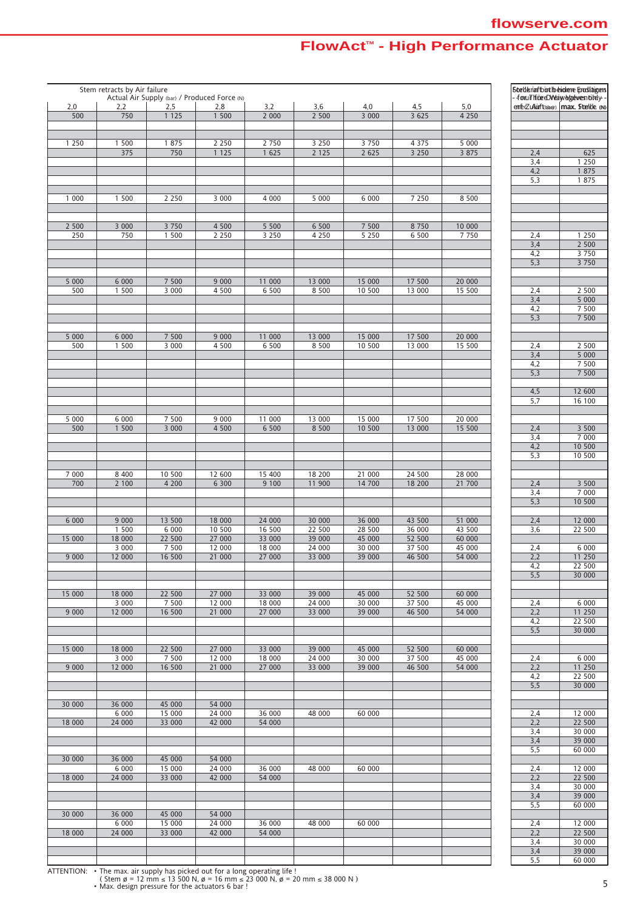| 2,0          | Stem retracts by Air failure<br>2,2 | 2,5               | Actual Air Supply (bar) / Produced Force (N)<br>2,8 | 3,2              | 3,6               | 4,0              | 4,5              | 5,0              |                         | <b>Boetlerian bioth eighere foodlaigers</b><br>foruThiceDWaiwegewestildy-<br>enfeZuAurft(beer)   max. Sterlde. (N) |
|--------------|-------------------------------------|-------------------|-----------------------------------------------------|------------------|-------------------|------------------|------------------|------------------|-------------------------|--------------------------------------------------------------------------------------------------------------------|
| 500          | 750                                 | 1 1 2 5           | 1 500                                               | 2 0 0 0          | 2 500             | 3 000            | 3 6 2 5          | 4 2 5 0          |                         |                                                                                                                    |
|              |                                     |                   |                                                     |                  |                   |                  |                  |                  |                         |                                                                                                                    |
| 1 2 5 0      | 1 500                               | 1 875             | 2 2 5 0                                             | 2 7 5 0          | 3 2 5 0           | 3 7 5 0          | 4 3 7 5          | 5 0 0 0          |                         |                                                                                                                    |
|              | 375                                 | 750               | 1 1 2 5                                             | 1625             | 2 1 2 5           | 2625             | 3250             | 3 8 7 5          | 2,4                     | 625                                                                                                                |
|              |                                     |                   |                                                     |                  |                   |                  |                  |                  | 3,4<br>4,2              | 1 2 5 0<br>1 875                                                                                                   |
|              |                                     |                   |                                                     |                  |                   |                  |                  |                  | 5,3                     | 1 8 7 5                                                                                                            |
|              |                                     |                   |                                                     |                  |                   |                  |                  |                  |                         |                                                                                                                    |
| 1 000        | 1 500                               | 2 2 5 0           | 3 0 0 0                                             | 4 0 0 0          | 5 000             | 6 000            | 7 2 5 0          | 8 500            |                         |                                                                                                                    |
|              |                                     |                   |                                                     |                  |                   |                  |                  |                  |                         |                                                                                                                    |
| 2 500        | 3 000                               | 3 7 5 0           | 4 500                                               | 5 5 0 0          | 6 500             | 7 500            | 8750             | 10 000           |                         |                                                                                                                    |
| 250          | 750                                 | 1 500             | 2 2 5 0                                             | 3 2 5 0          | 4 2 5 0           | 5 2 5 0          | 6 500            | 7750             | 2,4<br>3,4              | 1 2 5 0<br>2 5 0 0                                                                                                 |
|              |                                     |                   |                                                     |                  |                   |                  |                  |                  | 4,2                     | 3 7 5 0                                                                                                            |
|              |                                     |                   |                                                     |                  |                   |                  |                  |                  | 5,3                     | 3 7 5 0                                                                                                            |
|              |                                     |                   |                                                     |                  |                   |                  |                  |                  |                         |                                                                                                                    |
| 5 000<br>500 | 6 0 0 0<br>1 500                    | 7 500<br>3 0 0 0  | 9 0 0 0<br>4 500                                    | 11 000<br>6 500  | 13 000<br>8 5 0 0 | 15 000<br>10 500 | 17 500<br>13 000 | 20 000<br>15 500 | 2,4                     | 2 500                                                                                                              |
|              |                                     |                   |                                                     |                  |                   |                  |                  |                  | 3,4                     | 5000                                                                                                               |
|              |                                     |                   |                                                     |                  |                   |                  |                  |                  | 4,2                     | 7 500                                                                                                              |
|              |                                     |                   |                                                     |                  |                   |                  |                  |                  | 5,3                     | 7 500                                                                                                              |
| 5 000        | 6 0 0 0                             | 7 500             | 9 0 0 0                                             | 11 000           | 13 000            | 15 000           | 17 500           | 20 000           |                         |                                                                                                                    |
| 500          | 1 500                               | 3 000             | 4 500                                               | 6 500            | 8 5 0 0           | 10 500           | 13 000           | 15 500           | 2,4                     | 2 500                                                                                                              |
|              |                                     |                   |                                                     |                  |                   |                  |                  |                  | 3,4                     | 5 0 0 0                                                                                                            |
|              |                                     |                   |                                                     |                  |                   |                  |                  |                  | 4,2<br>5,3              | 7 500<br>7 500                                                                                                     |
|              |                                     |                   |                                                     |                  |                   |                  |                  |                  |                         |                                                                                                                    |
|              |                                     |                   |                                                     |                  |                   |                  |                  |                  | 4,5                     | 12 600                                                                                                             |
|              |                                     |                   |                                                     |                  |                   |                  |                  |                  | 5,7                     | 16 100                                                                                                             |
| 5 000        | 6 000                               | 7 500             | 9 0 0 0                                             | 11 000           | 13 000            | 15 000           | 17 500           | 20 000           |                         |                                                                                                                    |
| 500          | 1500                                | 3 000             | 4 500                                               | 6 500            | 8 5 0 0           | 10 500           | 13 000           | 15 500           | 2,4                     | 3 500                                                                                                              |
|              |                                     |                   |                                                     |                  |                   |                  |                  |                  | 3,4                     | 7 0 0 0                                                                                                            |
|              |                                     |                   |                                                     |                  |                   |                  |                  |                  | 4,2<br>5,3              | 10 500<br>10 500                                                                                                   |
|              |                                     |                   |                                                     |                  |                   |                  |                  |                  |                         |                                                                                                                    |
| 7 0 0 0      | 8 4 0 0                             | 10 500            | 12 600                                              | 15 400           | 18 200            | 21 000           | 24 500           | 28 000           |                         |                                                                                                                    |
| 700          | 2 100                               | 4 200             | 6 300                                               | 9 100            | 11 900            | 14 700           | 18 200           | 21 700           | 2,4                     | 3 500                                                                                                              |
|              |                                     |                   |                                                     |                  |                   |                  |                  |                  | 3,4<br>5,3              | 7 0 0 0<br>10 500                                                                                                  |
|              |                                     |                   |                                                     |                  |                   |                  |                  |                  |                         |                                                                                                                    |
| 6 0 0 0      | 9 0 0 0                             | 13 500            | 18 000                                              | 24 000           | 30 000            | 36 000           | 43 500           | 51 000           | 2,4                     | 12 000                                                                                                             |
| 15 000       | 1 500<br>18 000                     | 6 0 0 0<br>22 500 | 10 500<br>27 000                                    | 16 500<br>33 000 | 22 500<br>39 000  | 28 500<br>45 000 | 36 000<br>52 500 | 43 500<br>60 000 | 3,6                     | 22 500                                                                                                             |
|              | 3000                                | 7 500             | 12 000                                              | 18 000           | 24 000            | 30 000           | 37 500           | 45 000           | 2,4                     | 6 0 0 0                                                                                                            |
| 9 0 0 0      | 12 000                              | 16 500            | 21 000                                              | 27 000           | 33 000            | 39 000           | 46 500           | 54 000           | 2,2                     | 11 250                                                                                                             |
|              |                                     |                   |                                                     |                  |                   |                  |                  |                  | 4,2<br>5,5              | <b>22 500</b><br>30 000                                                                                            |
|              |                                     |                   |                                                     |                  |                   |                  |                  |                  |                         |                                                                                                                    |
| 15 000       | 18 000                              | 22 500            | 27 000                                              | 33 000           | 39 000            | 45 000           | 52 500           | 60 000           |                         |                                                                                                                    |
|              | 3000                                | 7 500             | 12 000                                              | 18 000           | 24 000            | 30 000           | 37 500           | 45 000           | 2,4                     | 6 0 0 0                                                                                                            |
| 9 0 0 0      | 12 000                              | 16 500            | 21 000                                              | 27 000           | 33 000            | 39 000           | 46 500           | 54 000           | 2,2<br>4,2              | 11 250<br>22 500                                                                                                   |
|              |                                     |                   |                                                     |                  |                   |                  |                  |                  | $\overline{5,5}$        | 30 000                                                                                                             |
|              |                                     |                   |                                                     |                  |                   |                  |                  |                  |                         |                                                                                                                    |
| 15 000       | 18 000<br>3000                      | 22 500<br>7 500   | 27 000<br>12 000                                    | 33 000<br>18 000 | 39 000<br>24 000  | 45 000<br>30 000 | 52 500<br>37 500 | 60 000<br>45 000 | 2,4                     | 6 0 0 0                                                                                                            |
| 9 0 0 0      | 12 000                              | 16 500            | 21 000                                              | 27 000           | 33 000            | 39 000           | 46 500           | 54 000           | 2,2                     | 11 250                                                                                                             |
|              |                                     |                   |                                                     |                  |                   |                  |                  |                  | 4,2                     | 22 500                                                                                                             |
|              |                                     |                   |                                                     |                  |                   |                  |                  |                  | $\overline{5,5}$        | 30 000                                                                                                             |
| 30 000       | 36 000                              | 45 000            | 54 000                                              |                  |                   |                  |                  |                  |                         |                                                                                                                    |
|              | 6 0 0 0                             | 15 000            | 24 000                                              | 36 000           | 48 000            | 60 000           |                  |                  | 2,4                     | 12 000                                                                                                             |
| 18 000       | 24 000                              | 33 000            | 42 000                                              | 54 000           |                   |                  |                  |                  | 2,2                     | 22 500                                                                                                             |
|              |                                     |                   |                                                     |                  |                   |                  |                  |                  | 3,4<br>3,4              | 30 000<br>39 000                                                                                                   |
|              |                                     |                   |                                                     |                  |                   |                  |                  |                  | 5,5                     | 60 000                                                                                                             |
| 30 000       | 36 000                              | 45 000            | 54 000                                              |                  |                   |                  |                  |                  |                         |                                                                                                                    |
| 18 000       | 6 0 0 0<br>24 000                   | 15 000<br>33 000  | 24 000<br>42 000                                    | 36 000<br>54 000 | 48 000            | 60 000           |                  |                  | 2,4<br>2,2              | 12 000<br>22 500                                                                                                   |
|              |                                     |                   |                                                     |                  |                   |                  |                  |                  | 3,4                     | 30 000                                                                                                             |
|              |                                     |                   |                                                     |                  |                   |                  |                  |                  | 3,4                     | 39 000                                                                                                             |
|              |                                     |                   |                                                     |                  |                   |                  |                  |                  | 5,5                     | 60 000                                                                                                             |
| 30 000       | 36 000<br>6 0 0 0                   | 45 000<br>15 000  | 54 000<br>24 000                                    | 36 000           | 48 000            | 60 000           |                  |                  | 2,4                     | 12 000                                                                                                             |
| 18 000       | 24 000                              | 33 000            | 42 000                                              | 54 000           |                   |                  |                  |                  | 2,2                     | 22 500                                                                                                             |
|              |                                     |                   |                                                     |                  |                   |                  |                  |                  | 3,4                     | 30 000                                                                                                             |
|              |                                     |                   |                                                     |                  |                   |                  |                  |                  | 3,4<br>$\overline{5,5}$ | 39 000<br>60 000                                                                                                   |
|              |                                     |                   |                                                     |                  |                   |                  |                  |                  |                         |                                                                                                                    |

ATTENTION: • The max. air supply has picked out for a long operating life !<br>( Stem ø = 12 mm ≤ 13 500 N, ø = 20 mm ≤ 38 000 N )<br>• Max. design pressure for the actuators 6 bar !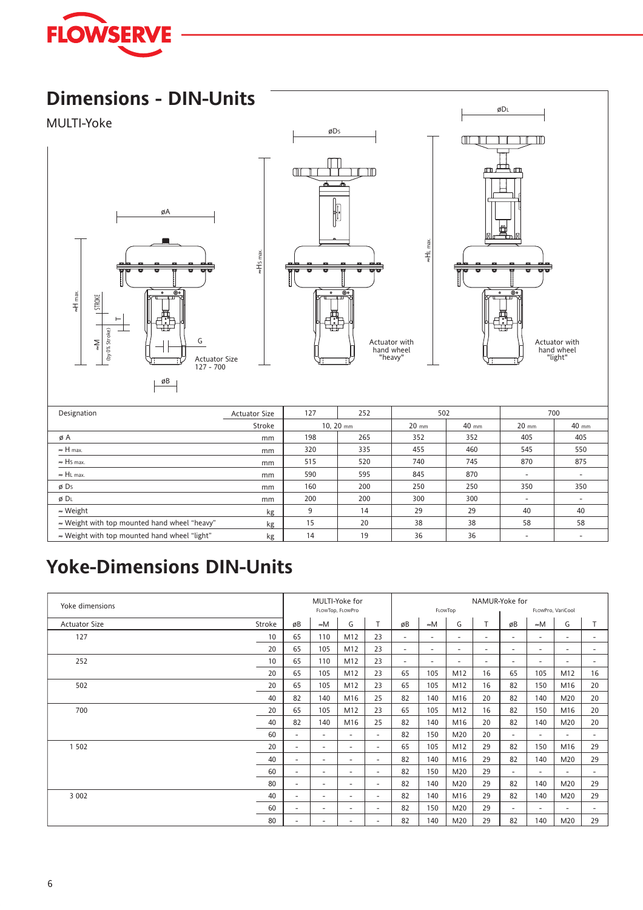

## **Dimensions - DIN-Units**

#### MULTI-Yoke





≈HS max.



≈HL max.

| Designation                                          | <b>Actuator Size</b> | 127 | 252         | 502     |       |         | 700     |
|------------------------------------------------------|----------------------|-----|-------------|---------|-------|---------|---------|
|                                                      | Stroke               |     | $10, 20$ mm | $20$ mm | 40 mm | $20$ mm | $40$ mm |
| øΑ                                                   | mm                   | 198 | 265         | 352     | 352   | 405     | 405     |
| $\approx$ H max.                                     | mm                   | 320 | 335         | 455     | 460   | 545     | 550     |
| $\approx$ Hs max.                                    | mm                   | 515 | 520         | 740     | 745   | 870     | 875     |
| $\approx$ HL max.                                    | mm                   | 590 | 595         | 845     | 870   | ۰       |         |
| ø Ds                                                 | mm                   | 160 | 200         | 250     | 250   | 350     | 350     |
| Ø DL                                                 | mm                   | 200 | 200         | 300     | 300   |         |         |
| $\approx$ Weight                                     | kg                   | 9   | 14          | 29      | 29    | 40      | 40      |
| ≈ Weight with top mounted hand wheel "heavy"         | kg                   | 15  | 20          | 38      | 38    | 58      | 58      |
| $\approx$ Weight with top mounted hand wheel "light" | kg                   | 14  | 19          | 36      | 36    |         |         |

## **Yoke-Dimensions DIN-Units**

| Yoke dimensions      |        |                          |                             | MULTI-Yoke for |        |                          |                          |                          | NAMUR-Yoke for           |        |                          |                          |                          |  |
|----------------------|--------|--------------------------|-----------------------------|----------------|--------|--------------------------|--------------------------|--------------------------|--------------------------|--------|--------------------------|--------------------------|--------------------------|--|
|                      |        |                          | FLOWTop, FLOWPro<br>FLOWTOP |                |        |                          |                          |                          | FLOWPro, VariCool        |        |                          |                          |                          |  |
| <b>Actuator Size</b> | Stroke | øB                       | $\approx M$                 | G              | T.     | øB                       | $\approx M$              | G                        | T                        | øB     | $\approx M$              | G                        | T                        |  |
| 127                  | 10     | 65                       | 110                         | M12            | 23     | $\overline{\phantom{a}}$ | $\overline{\phantom{a}}$ | $\overline{\phantom{a}}$ | $\overline{\phantom{a}}$ | ٠.     | $\overline{\phantom{a}}$ | $\overline{\phantom{a}}$ | $\overline{\phantom{a}}$ |  |
|                      | 20     | 65                       | 105                         | M12            | 23     | $\overline{\phantom{a}}$ | $\overline{\phantom{a}}$ | $\overline{\phantom{a}}$ | $\overline{\phantom{a}}$ | ٠.     | ٠                        | ٠                        | $\overline{\phantom{a}}$ |  |
| 252                  | 10     | 65                       | 110                         | M12            | 23     | $\overline{\phantom{a}}$ | $\overline{\phantom{a}}$ |                          | $\overline{\phantom{a}}$ | ٠.     | ٠                        | ٠                        | $\overline{\phantom{a}}$ |  |
|                      | 20     | 65                       | 105                         | M12            | 23     | 65                       | 105                      | M12                      | 16                       | 65     | 105                      | M12                      | 16                       |  |
| 502                  | 20     | 65                       | 105                         | M12            | 23     | 65                       | 105                      | M12                      | 16                       | 82     | 150                      | M16                      | 20                       |  |
|                      | 40     | 82                       | 140                         | M16            | 25     | 82                       | 140                      | M16                      | 20                       | 82     | 140                      | M20                      | 20                       |  |
| 700                  | 20     | 65                       | 105                         | M12            | 23     | 65                       | 105                      | M12                      | 16                       | 82     | 150                      | M16                      | 20                       |  |
|                      | 40     | 82                       | 140                         | M16            | 25     | 82                       | 140                      | M16                      | 20                       | 82     | 140                      | M20                      | 20                       |  |
|                      | 60     | $\overline{\phantom{a}}$ | $\sim$                      | $\sim$         | ٠      | 82                       | 150                      | M20                      | 20                       | ٠      | $\overline{\phantom{a}}$ | $\overline{\phantom{a}}$ | $\overline{\phantom{a}}$ |  |
| 1 5 0 2              | 20     | ٠                        | $\sim$                      | ٠              | ٠      | 65                       | 105                      | M12                      | 29                       | 82     | 150                      | M16                      | 29                       |  |
|                      | 40     | $\overline{\phantom{a}}$ | $\sim$                      | ۰.             | ٠      | 82                       | 140                      | M16                      | 29                       | 82     | 140                      | M20                      | 29                       |  |
|                      | 60     | $\overline{\phantom{a}}$ | $\sim$                      | ۰              | ٠      | 82                       | 150                      | M20                      | 29                       | ٠.     | ۰                        | $\overline{\phantom{a}}$ | ۰.                       |  |
|                      | 80     | $\overline{\phantom{a}}$ | $\sim$                      | ٠              | ٠      | 82                       | 140                      | M20                      | 29                       | 82     | 140                      | M20                      | 29                       |  |
| 3 0 0 2              | 40     | $\overline{\phantom{a}}$ | $\overline{\phantom{a}}$    | ٠              | $\sim$ | 82                       | 140                      | M16                      | 29                       | 82     | 140                      | M20                      | 29                       |  |
|                      | 60     | $\sim$                   | $\overline{\phantom{a}}$    | ٠              | ٠      | 82                       | 150                      | M20                      | 29                       | $\sim$ | ٠                        | ٠                        | $\overline{\phantom{a}}$ |  |
|                      | 80     | $\sim$                   | $\sim$                      | ۰.             | ٠      | 82                       | 140                      | M20                      | 29                       | 82     | 140                      | M20                      | 29                       |  |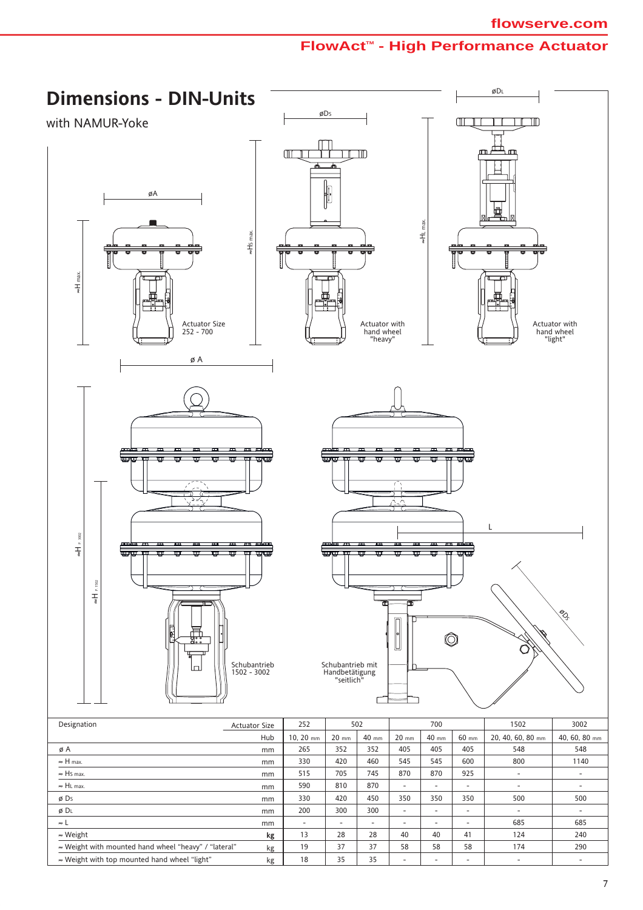

≈ Weight with top mounted hand wheel "light"

kg

18

-

-

-

-

-

35

35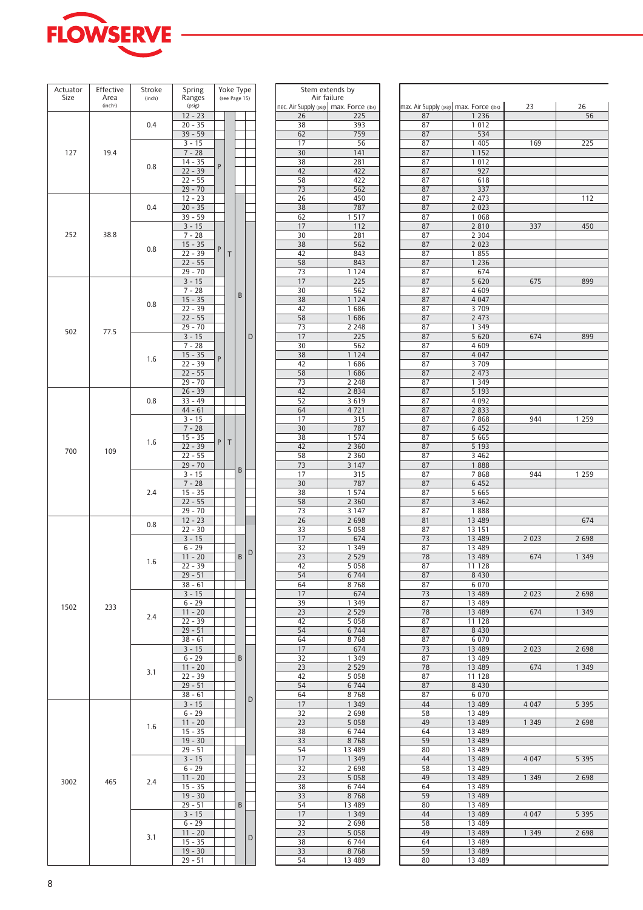

| Actuator | Effective                    | Stroke | Spring                 |   | Yoke Type     |   |   |
|----------|------------------------------|--------|------------------------|---|---------------|---|---|
| Size     | Area<br>(inch <sup>2</sup> ) | (inch) | Ranges<br>(psig)       |   | (see Page 15) |   |   |
|          |                              |        | $12 - 23$              |   |               |   |   |
|          |                              | 0.4    | $20 - 35$              |   |               |   |   |
|          |                              |        | $39 - 59$              |   |               |   |   |
|          |                              |        | $3 - 15$               |   |               |   |   |
| 127      | 19.4                         |        | $7 - 28$               |   |               |   |   |
|          |                              | 0.8    | 14 - 35                | P |               |   |   |
|          |                              |        | $22 - 39$              |   |               |   |   |
|          |                              |        | $22 - 55$              |   |               |   |   |
|          |                              |        | $29 - 70$<br>$12 - 23$ |   |               |   |   |
|          |                              | 0.4    | $20 - 35$              |   |               |   |   |
|          |                              |        | 39 - 59                |   |               |   |   |
|          |                              |        | $3 - 15$               |   |               |   |   |
| 252      | 38.8                         |        | $7 - 28$               |   |               |   |   |
|          |                              | 0.8    | $15 - 35$              | P |               |   |   |
|          |                              |        | 22 - 39                |   | T             |   |   |
|          |                              |        | $22 - 55$              |   |               |   |   |
|          |                              |        | 29 - 70                |   |               |   |   |
|          |                              |        | $3 - 15$               |   |               |   |   |
|          |                              |        | $7 - 28$<br>$15 - 35$  |   |               | B |   |
|          |                              | 0.8    | $22 - 39$              |   |               |   |   |
|          |                              |        | $22 - 55$              |   |               |   |   |
|          |                              |        | $29 - 70$              |   |               |   |   |
| 502      | 77.5                         |        | $3 - 15$               |   |               |   | D |
|          |                              |        | $7 - 28$               |   |               |   |   |
|          |                              | 1.6    | $15 - 35$              | P |               |   |   |
|          |                              |        | 22 - 39                |   |               |   |   |
|          |                              |        | $22 - 55$              |   |               |   |   |
|          |                              |        | 29 - 70                |   |               |   |   |
|          |                              | 0.8    | $26 - 39$<br>$33 - 49$ |   |               |   |   |
|          |                              |        | $44 - 61$              |   |               |   |   |
|          |                              |        | $3 - 15$               |   |               |   |   |
|          |                              |        | $7 - 28$               |   |               |   |   |
|          |                              |        | $15 - 35$              |   |               |   |   |
|          | 109                          | 1.6    | 22 - 39                | P | Τ             |   |   |
| 700      |                              |        | $22 - 55$              |   |               |   |   |
|          |                              |        | $29 - 70$              |   |               | B |   |
|          |                              |        | $3 - 15$               |   |               |   |   |
|          |                              |        | $7 - 28$               |   |               |   |   |
|          |                              | 2.4    | $15 - 35$<br>$22 - 55$ |   |               |   |   |
|          |                              |        | 29 - 70                |   |               |   |   |
|          |                              |        | $12 - 23$              |   |               |   |   |
|          |                              | 0.8    | $22 - 30$              |   |               |   |   |
|          |                              |        | $3 - 15$               |   |               |   |   |
|          |                              |        | $6 - 29$               |   |               | B | D |
|          |                              | 1.6    | $11 - 20$              |   |               |   |   |
|          |                              |        | $22 - 39$              |   |               |   |   |
|          |                              |        | $29 - 51$              |   |               |   |   |
|          |                              |        | $38 - 61$              |   |               |   |   |
|          |                              |        | $3 - 15$<br>$6 - 29$   |   |               |   |   |
| 1502     | 233                          |        | $11 - 20$              |   |               |   |   |
|          |                              | 2.4    | 22 - 39                |   |               |   |   |
|          |                              |        | $29 - 51$              |   |               |   |   |
|          |                              |        | $38 - 61$              |   |               |   |   |
|          |                              |        | $3 - 15$               |   |               |   |   |
|          |                              |        | $6 - 29$               |   |               | B |   |
|          |                              | 3.1    | $11 - 20$              |   |               |   |   |
|          |                              |        | $22 - 39$<br>$29 - 51$ |   |               |   |   |
|          |                              |        | $38 - 61$              |   |               |   |   |
|          |                              |        | $3 - 15$               |   |               |   | D |
|          |                              |        | $6 - 29$               |   |               |   |   |
|          |                              |        | $11 - 20$              |   |               |   |   |
|          |                              | 1.6    | $15 - 35$              |   |               |   |   |
|          |                              |        | $19 - 30$              |   |               |   |   |
|          |                              |        | $29 - 51$              |   |               |   |   |
|          |                              |        | $3 - 15$               |   |               |   |   |
|          |                              |        | $6 - 29$               |   |               |   |   |
| 3002     | 465                          | 2.4    | $11 - 20$<br>$15 - 35$ |   |               |   |   |
|          |                              |        | $19 - 30$              |   |               |   |   |
|          |                              |        | $29 - 51$              |   |               | B |   |
|          |                              |        | $3 - 15$               |   |               |   |   |
|          |                              |        | $6 - 29$               |   |               |   |   |
|          |                              | 3.1    | $11 - 20$              |   |               |   | D |
|          |                              |        | $15 - 35$              |   |               |   |   |
|          |                              |        | $19 - 30$              |   |               |   |   |
|          |                              |        | $29 - 51$              |   |               |   |   |

| Spring                |   | Yoke Type     |   |   |          | Stem extends by                                          |                                         |                  |
|-----------------------|---|---------------|---|---|----------|----------------------------------------------------------|-----------------------------------------|------------------|
| Ranges<br>(psig)      |   | (see Page 15) |   |   |          | Air failure<br>nec. Air Supply (psig)   max. Force (lbs) | max. Air Supply (psig) max. Force (lbs) |                  |
| $12 - 23$             |   |               |   |   | 26       | 225                                                      | 87                                      | 1 2 3 6          |
| 20 - 35               |   |               |   |   | 38       | 393                                                      | 87                                      | 1 0 1 2          |
| 39 - 59               |   |               |   |   | 62       | 759                                                      | 87                                      | 534              |
| $3 - 15$              |   |               |   |   | 17       | 56                                                       | 87                                      | 1 4 0 5          |
| $7 - 28$              |   |               |   |   | 30       | 141                                                      | 87                                      | 1 1 5 2          |
| 14 - 35               | P |               |   |   | 38       | 281                                                      | 87                                      | 1 0 1 2          |
| 22 - 39               |   |               |   |   | 42       | 422                                                      | 87                                      | 927              |
| 22 - 55               |   |               |   |   | 58       | 422                                                      | 87                                      | 618              |
| 29 - 70<br>12 - 23    |   |               |   |   | 73<br>26 | 562<br>450                                               | 87<br>87                                | 337<br>2 4 7 3   |
| 20 - 35               |   |               |   |   | 38       | 787                                                      | 87                                      | 2 0 2 3          |
| 39 - 59               |   |               |   |   | 62       | 1 5 1 7                                                  | 87                                      | 1 0 6 8          |
| $3 - 15$              |   |               |   |   | 17       | 112                                                      | 87                                      | 2810             |
| $7 - 28$              |   |               |   |   | 30       | 281                                                      | 87                                      | 2 3 0 4          |
| $15 - 35$             |   |               |   |   | 38       | 562                                                      | 87                                      | 2 0 2 3          |
| 22 - 39               | P | Τ             |   |   | 42       | 843                                                      | 87                                      | 1855             |
| 22 - 55               |   |               |   |   | 58       | 843                                                      | 87                                      | 1 2 3 6          |
| 29 - 70               |   |               |   |   | 73       | 1 1 2 4                                                  | 87                                      | 674              |
| $3 - 15$              |   |               |   |   | 17       | 225                                                      | 87                                      | 5 6 20           |
| $7 - 28$              |   |               | B |   | 30       | 562                                                      | 87                                      | 4 609            |
| $15 - 35$             |   |               |   |   | 38       | 1 1 2 4                                                  | 87                                      | 4 0 4 7          |
| 22 - 39               |   |               |   |   | 42       | 1686                                                     | 87                                      | 3 7 0 9          |
| 22 - 55<br>29 - 70    |   |               |   |   | 58<br>73 | 1686<br>2 2 4 8                                          | 87<br>87                                | 2 473<br>1 3 4 9 |
|                       |   |               |   |   | 17       | 225                                                      | 87                                      |                  |
| $3 - 15$<br>$7 - 28$  |   |               |   | D | 30       | 562                                                      | 87                                      | 5 6 20<br>4609   |
| $15 - 35$             |   |               |   |   | 38       | 1 1 2 4                                                  | 87                                      | 4 0 4 7          |
| 22 - 39               | P |               |   |   | 42       | 1686                                                     | 87                                      | 3709             |
| 22 - 55               |   |               |   |   | 58       | 1686                                                     | 87                                      | 2 473            |
| 29 - 70               |   |               |   |   | 73       | 2 2 4 8                                                  | 87                                      | 1 3 4 9          |
| 26 - 39               |   |               |   |   | 42       | 2 8 3 4                                                  | 87                                      | 5 1 9 3          |
| 33 - 49               |   |               |   |   | 52       | 3 6 1 9                                                  | 87                                      | 4 0 9 2          |
| 44 - 61               |   |               |   |   | 64       | 4721                                                     | 87                                      | 2 8 3 3          |
| $3 - 15$              |   |               |   |   | 17       | 315                                                      | 87                                      | 7868             |
| $7 - 28$              |   |               |   |   | 30       | 787                                                      | 87                                      | 6 4 5 2          |
| 15 - 35               | P | Τ             |   |   | 38       | 1 574                                                    | 87                                      | 5 6 6 5          |
| 22 - 39               |   |               |   |   | 42       | 2 3 6 0                                                  | 87                                      | 5 1 9 3          |
| 22 - 55               |   |               |   |   | 58       | 2 3 6 0                                                  | 87                                      | 3 4 6 2          |
| 29 - 70               |   |               | B |   | 73       | 3 1 4 7                                                  | 87                                      | 1888             |
| $3 - 15$              |   |               |   |   | 17       | 315                                                      | 87                                      | 7868             |
| $7 - 28$              |   |               |   |   | 30       | 787                                                      | 87                                      | 6 4 5 2          |
| 15 - 35               |   |               |   |   | 38       | 1 574                                                    | 87                                      | 5 6 6 5          |
| 22 - 55               |   |               |   |   | 58       | 2 3 6 0                                                  | 87                                      | 3 4 6 2          |
| 29 - 70               |   |               |   |   | 73       | 3 1 4 7                                                  | 87                                      | 1888             |
| $12 - 23$<br>22 - 30  |   |               |   |   | 26<br>33 | 2 6 9 8                                                  | 81<br>87                                | 13 489           |
| $3 - 15$              |   |               |   |   | 17       | 5 0 5 8<br>674                                           | 73                                      | 13 151<br>13 489 |
| $6 - 29$              |   |               |   |   | 32       | 1 349                                                    | 87                                      | 13 489           |
| $11 - 20$             |   |               | B | D | 23       | 2 5 2 9                                                  | 78                                      | 13 489           |
| $22 - 39$             |   |               |   |   | 42       | 5 0 5 8                                                  | 87                                      | 11 128           |
| 29 - 51               |   |               |   |   | 54       | 6 7 4 4                                                  | 87                                      | 8 4 3 0          |
| 38 - 61               |   |               |   |   | 64       | 8768                                                     | 87                                      | 6 0 7 0          |
| $3 - 15$              |   |               |   |   | 17       | 674                                                      | 73                                      | 13 489           |
| $6 - 29$              |   |               |   |   | 39       | 1 3 4 9                                                  | 87                                      | 13 489           |
| $11 - 20$             |   |               |   |   | 23       | 2 5 2 9                                                  | 78                                      | 13 489           |
| 22 - 39               |   |               |   |   | 42       | 5 0 5 8                                                  | 87                                      | 11 128           |
| 29 - 51               |   |               |   |   | 54       | 6 7 4 4                                                  | 87                                      | 8 4 3 0          |
| 38 - 61               |   |               |   |   | 64       | 8768                                                     | 87                                      | 6 0 7 0          |
| $3 - 15$              |   |               |   |   | 17       | 674                                                      | 73                                      | 13 489           |
| $6 - 29$              |   |               | B |   | 32       | 1 3 4 9                                                  | 87                                      | 13 489           |
| $11 - 20$             |   |               |   |   | 23       | 2 5 2 9                                                  | 78                                      | 13 489           |
| 22 - 39               |   |               |   |   | 42       | 5 0 5 8                                                  | 87                                      | 11 128           |
| 29 - 51               |   |               |   |   | 54       | 6 7 4 4                                                  | 87                                      | 8 4 3 0          |
| 38 - 61               |   |               |   | D | 64       | 8768                                                     | 87                                      | 6 0 7 0          |
| $3 - 15$              |   |               |   |   | 17       | 1 3 4 9                                                  | 44                                      | 13 489           |
| $6 - 29$<br>$11 - 20$ |   |               |   |   | 32<br>23 | 2 6 9 8                                                  | 58<br>49                                | 13 489           |
| 15 - 35               |   |               |   |   | 38       | 5 0 5 8<br>6 744                                         | 64                                      | 13 489<br>13 489 |
| $19 - 30$             |   |               |   |   | 33       | 8768                                                     | 59                                      | 13 489           |
| 29 - 51               |   |               |   |   | 54       | 13 489                                                   | 80                                      | 13 489           |
| $3 - 15$              |   |               |   |   | 17       | 1 3 4 9                                                  | 44                                      | 13 489           |
| $6 - 29$              |   |               |   |   | 32       | 2 698                                                    | 58                                      | 13 489           |
| $11 - 20$             |   |               |   |   | 23       | 5 0 5 8                                                  | 49                                      | 13 489           |
| 15 - 35               |   |               |   |   | 38       | 6 744                                                    | 64                                      | 13 489           |
| $19 - 30$             |   |               |   |   | 33       | 8768                                                     | 59                                      | 13 489           |
| 29 - 51               |   |               | B |   | 54       | 13 489                                                   | 80                                      | 13 489           |
| $3 - 15$              |   |               |   |   | 17       | 1 3 4 9                                                  | 44                                      | 13 489           |
| $6 - 29$              |   |               |   |   | 32       | 2 6 9 8                                                  | 58                                      | 13 489           |
| $11 - 20$             |   |               |   |   | 23       | 5 0 5 8                                                  | 49                                      | 13 489           |
| 15 - 35               |   |               |   | D | 38       | 6 744                                                    | 64                                      | 13 489           |
| $19 - 30$             |   |               |   |   | 33       | 8768                                                     | 59                                      | 13 489           |
| 29 - 51               |   |               |   |   | 54       | 13 489                                                   | 80                                      | 13 489           |

| max. Air Supply (psig) max. Force (lbs) |                    | 23      | 26      |
|-----------------------------------------|--------------------|---------|---------|
| 87                                      | 1 2 3 6            |         | 56      |
| 87                                      | 1 012              |         |         |
| 87                                      | 534                |         |         |
| 87                                      | 1 4 0 5            | 169     | 225     |
| 87                                      | 1 1 5 2            |         |         |
| 87<br>87                                | 1 0 1 2<br>927     |         |         |
| 87                                      | 618                |         |         |
| 87                                      | 337                |         |         |
| 87                                      | 2 473              |         | 112     |
| 87                                      | 2 0 2 3            |         |         |
| 87                                      | 1 0 6 8            |         |         |
| 87                                      | 2 8 1 0            | 337     | 450     |
| 87                                      | 2 3 0 4            |         |         |
| 87                                      | 2 0 2 3            |         |         |
| 87<br>87                                | 1855<br>1 2 3 6    |         |         |
| 87                                      | 674                |         |         |
| 87                                      | 5620               | 675     | 899     |
| 87                                      | 4609               |         |         |
| 87                                      | 4 0 4 7            |         |         |
| 87                                      | 3709               |         |         |
| 87                                      | 2 473              |         |         |
| 87                                      | 1 3 4 9            |         |         |
| 87<br>87                                | 5 6 2 0<br>4 6 0 9 | 674     | 899     |
| 87                                      | 4 0 4 7            |         |         |
| 87                                      | 3709               |         |         |
| 87                                      | 2 4 7 3            |         |         |
| 87                                      | 1 3 4 9            |         |         |
| 87                                      | 5 1 9 3            |         |         |
| 87                                      | 4 0 9 2            |         |         |
| 87                                      | 2 8 3 3            |         |         |
| 87<br>87                                | 7868<br>6 4 5 2    | 944     | 1 2 5 9 |
| 87                                      | 5 6 6 5            |         |         |
| 87                                      | 5 1 9 3            |         |         |
| 87                                      | 3 4 6 2            |         |         |
| 87                                      | 1888               |         |         |
| 87                                      | 7868               | 944     | 1 259   |
| 87                                      | 6 4 5 2            |         |         |
| 87<br>87                                | 5 6 6 5<br>3 4 6 2 |         |         |
| 87                                      | 1888               |         |         |
| 81                                      | 13 489             |         | 674     |
| 87                                      | 13 151             |         |         |
| 73                                      | 13 489             | 2 0 2 3 | 2 6 9 8 |
| 87                                      | 13 489             |         |         |
| 78                                      | 13 489             | 674     | 1 3 4 9 |
| 87                                      | 11 128             |         |         |
| 87<br>87                                | 8 4 3 0<br>6 0 7 0 |         |         |
| 73                                      | 13 489             | 2 0 2 3 | 2 6 9 8 |
| 87                                      | 13 489             |         |         |
| 78                                      | 13 489             | 674     | 1 3 4 9 |
| 87                                      | 11 128             |         |         |
| 87                                      | 8 4 3 0            |         |         |
| 87<br>73                                | 6 0 7 0<br>13 489  | 2 0 2 3 | 2 6 9 8 |
| 87                                      | 13 489             |         |         |
| 78                                      | 13 489             | 674     | 1 3 4 9 |
| 87                                      | 11 128             |         |         |
| 87                                      | 8 4 3 0            |         |         |
| 87                                      | 6 0 7 0            |         |         |
| 44                                      | 13 489             | 4 0 4 7 | 5 3 9 5 |
| 58<br>49                                | 13 489<br>13 489   | 1 3 4 9 | 2 6 9 8 |
| 64                                      | 13 489             |         |         |
| 59                                      | 13 489             |         |         |
| 80                                      | 13 489             |         |         |
| 44                                      | 13 489             | 4 0 4 7 | 5 3 9 5 |
| 58                                      | 13 489             |         |         |
| 49                                      | 13 489             | 1 3 4 9 | 2 6 9 8 |
| 64<br>59                                | 13 489<br>13 489   |         |         |
| 80                                      | 13 489             |         |         |
| 44                                      | 13 489             | 4 0 4 7 | 5 3 9 5 |
| 58                                      | 13 489             |         |         |
| 49                                      | 13 489             | 1 3 4 9 | 2 6 9 8 |
| 64                                      | 13 489             |         |         |
| 59                                      | 13 489             |         |         |
| 80                                      | 13 489             |         |         |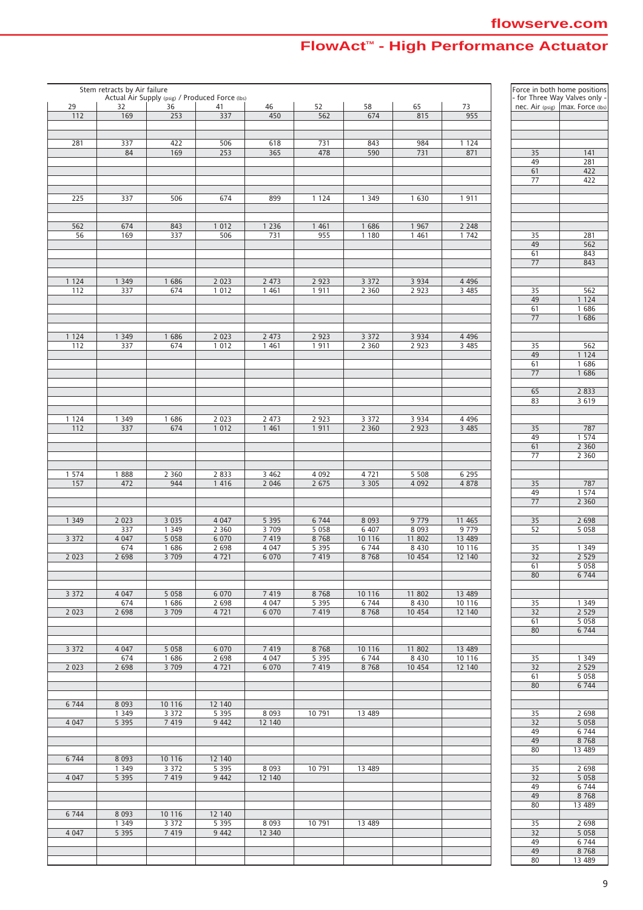|         | Stem retracts by Air failure |                    | Actual Air Supply (psig) / Produced Force (lbs) |                    |                 |                  |                   |                | Force in both home positions | - for Three Way Valves only -      |
|---------|------------------------------|--------------------|-------------------------------------------------|--------------------|-----------------|------------------|-------------------|----------------|------------------------------|------------------------------------|
| 29      | 32<br>169                    | 36<br>253          | 41                                              | 46                 | 52              | 58               | 65                | 73<br>955      |                              | nec. Air (psig)   max. Force (lbs) |
| 112     |                              |                    | 337                                             | 450                | 562             | 674              | 815               |                |                              |                                    |
|         |                              |                    |                                                 |                    |                 |                  |                   |                |                              |                                    |
| 281     | 337                          | 422                | 506                                             | 618                | 731             | 843              | 984               | 1 1 2 4        |                              |                                    |
|         | 84                           | 169                | 253                                             | 365                | 478             | 590              | 731               | 871            | 35                           | 141                                |
|         |                              |                    |                                                 |                    |                 |                  |                   |                | 49<br>61                     | 281<br>422                         |
|         |                              |                    |                                                 |                    |                 |                  |                   |                | 77                           | 422                                |
|         |                              |                    |                                                 |                    |                 |                  |                   |                |                              |                                    |
| 225     | 337                          | 506                | 674                                             | 899                | 1 1 2 4         | 1 3 4 9          | 1 630             | 1911           |                              |                                    |
|         |                              |                    |                                                 |                    |                 |                  |                   |                |                              |                                    |
| 562     | 674                          | 843                | 1 0 1 2                                         | 1 2 3 6            | 1 4 6 1         | 1 686            | 1 9 6 7           | 2 2 4 8        |                              |                                    |
| 56      | 169                          | 337                | 506                                             | 731                | 955             | 1 1 8 0          | 1 4 6 1           | 1 742          | 35                           | 281                                |
|         |                              |                    |                                                 |                    |                 |                  |                   |                | 49                           | 562                                |
|         |                              |                    |                                                 |                    |                 |                  |                   |                | 61                           | 843                                |
|         |                              |                    |                                                 |                    |                 |                  |                   |                | 77                           | 843                                |
| 1 1 2 4 | 1 3 4 9                      | 1 686              | 2 0 2 3                                         | 2 4 7 3            | 2 9 2 3         | 3 3 7 2          | 3 9 3 4           | 4 4 9 6        |                              |                                    |
| 112     | 337                          | 674                | 1 0 1 2                                         | 1 4 6 1            | 1911            | 2 3 6 0          | 2 9 2 3           | 3 4 8 5        | 35                           | 562                                |
|         |                              |                    |                                                 |                    |                 |                  |                   |                | 49                           | 1 1 2 4                            |
|         |                              |                    |                                                 |                    |                 |                  |                   |                | 61                           | 1686                               |
|         |                              |                    |                                                 |                    |                 |                  |                   |                | 77                           | 1 686                              |
| 1 1 2 4 | 1 3 4 9                      | 1686               | 2 0 2 3                                         | 2 4 7 3            | 2 9 2 3         | 3 3 7 2          | 3 9 3 4           | 4 4 9 6        |                              |                                    |
| 112     | 337                          | 674                | 1 0 1 2                                         | 1 4 6 1            | 1911            | 2 3 6 0          | 2 9 2 3           | 3 4 8 5        | 35                           | 562                                |
|         |                              |                    |                                                 |                    |                 |                  |                   |                | 49                           | 1 1 2 4                            |
|         |                              |                    |                                                 |                    |                 |                  |                   |                | 61                           | 1686                               |
|         |                              |                    |                                                 |                    |                 |                  |                   |                | 77                           | 1 686                              |
|         |                              |                    |                                                 |                    |                 |                  |                   |                | 65                           | 2 8 3 3                            |
|         |                              |                    |                                                 |                    |                 |                  |                   |                | 83                           | 3619                               |
|         |                              |                    |                                                 |                    |                 |                  |                   |                |                              |                                    |
| 1 1 2 4 | 1 3 4 9                      | 1686               | 2 0 2 3                                         | 2 473              | 2 9 2 3         | 3 3 7 2          | 3 9 3 4           | 4 4 9 6        |                              |                                    |
| 112     | 337                          | 674                | 1012                                            | 1461               | 1911            | 2 3 6 0          | 2 9 2 3           | 3 4 8 5        | 35<br>49                     | 787<br>1 5 7 4                     |
|         |                              |                    |                                                 |                    |                 |                  |                   |                | 61                           | 2 3 6 0                            |
|         |                              |                    |                                                 |                    |                 |                  |                   |                | 77                           | 2 3 6 0                            |
|         |                              |                    |                                                 |                    |                 |                  |                   |                |                              |                                    |
| 1 5 7 4 | 1888                         | 2 3 6 0            | 2 8 3 3                                         | 3 4 6 2            | 4 0 9 2         | 4721             | 5 5 0 8           | 6 2 9 5        |                              |                                    |
| 157     | 472                          | 944                | 1 4 1 6                                         | 2 0 4 6            | 2 6 7 5         | 3 3 0 5          | 4 0 9 2           | 4 8 7 8        | 35<br>49                     | 787<br>1 574                       |
|         |                              |                    |                                                 |                    |                 |                  |                   |                | 77                           | 2 3 6 0                            |
|         |                              |                    |                                                 |                    |                 |                  |                   |                |                              |                                    |
| 1 3 4 9 | 2 0 2 3                      | 3 0 3 5            | 4 0 4 7                                         | 5 3 9 5            | 6 7 4 4         | 8 0 9 3          | 9 7 7 9           | 11 465         | 35                           | 2 6 9 8                            |
| 3 3 7 2 | 337<br>4 0 4 7               | 1 3 4 9<br>5 0 5 8 | 2 3 6 0<br>6 0 7 0                              | 3 7 0 9<br>7 4 1 9 | 5 0 5 8<br>8768 | 6 40 7<br>10 116 | 8 0 9 3<br>11 802 | 9779<br>13 489 | 52                           | 5058                               |
|         | 674                          | 1 686              | 2 6 9 8                                         | 4 0 4 7            | 5 3 9 5         | 6 7 4 4          | 8 4 3 0           | 10 116         | 35                           | 1 3 4 9                            |
| 2 0 2 3 | 2 6 9 8                      | 3 7 0 9            | 4721                                            | 6 0 7 0            | 7 4 1 9         | 8768             | 10 454            | 12 140         | $\overline{32}$              | 2 5 2 9                            |
|         |                              |                    |                                                 |                    |                 |                  |                   |                | 61                           | 5 0 5 8                            |
|         |                              |                    |                                                 |                    |                 |                  |                   |                | 80                           | 6 7 4 4                            |
| 3 3 7 2 | 4 0 4 7                      | 5 0 5 8            | 6 0 7 0                                         | 7 4 1 9            | 8768            | 10 116           | 11 802            | 13 489         |                              |                                    |
|         | 674                          | 1686               | 2 6 9 8                                         | 4 0 4 7            | 5 3 9 5         | 6 7 4 4          | 8 4 3 0           | 10 116         | 35                           | 1 3 4 9                            |
| 2 0 2 3 | 2 6 9 8                      | 3 7 0 9            | 4721                                            | 6 0 7 0            | 7 4 1 9         | 8768             | 10 454            | 12 140         | 32                           | 2 5 2 9                            |
|         |                              |                    |                                                 |                    |                 |                  |                   |                | 61                           | 5 0 5 8                            |
|         |                              |                    |                                                 |                    |                 |                  |                   |                | 80                           | 6 7 4 4                            |
| 3 3 7 2 | 4 0 4 7                      | 5058               | 6 0 7 0                                         | 7 4 1 9            | 8768            | 10 116           | 11 802            | 13 489         |                              |                                    |
|         | 674                          | 1686               | 2 6 9 8                                         | 4 0 4 7            | 5 3 9 5         | 6 7 4 4          | 8 4 3 0           | 10 116         | 35                           | 1 3 4 9                            |
| 2 0 2 3 | 2 6 9 8                      | 3 7 0 9            | 4721                                            | 6 0 7 0            | 7 4 1 9         | 8768             | 10 454            | 12 140         | 32                           | 2 5 2 9                            |
|         |                              |                    |                                                 |                    |                 |                  |                   |                | 61                           | 5058                               |
|         |                              |                    |                                                 |                    |                 |                  |                   |                | 80                           | 6 7 4 4                            |
| 6 7 4 4 | 8 0 9 3                      | 10 116             | 12 140                                          |                    |                 |                  |                   |                |                              |                                    |
|         | 1 3 4 9                      | 3 3 7 2            | 5 3 9 5                                         | 8 0 9 3            | 10 791          | 13 489           |                   |                | 35                           | 2 6 9 8                            |
| 4 0 4 7 | 5 3 9 5                      | 7 4 1 9            | 9 4 4 2                                         | 12 140             |                 |                  |                   |                | 32                           | 5 0 5 8                            |
|         |                              |                    |                                                 |                    |                 |                  |                   |                | 49                           | 6 7 4 4                            |
|         |                              |                    |                                                 |                    |                 |                  |                   |                | 49<br>80                     | 8768<br>13 489                     |
| 6 7 4 4 | 8 0 9 3                      | 10 116             | 12 140                                          |                    |                 |                  |                   |                |                              |                                    |
|         | 1 3 4 9                      | 3 3 7 2            | 5 3 9 5                                         | 8 0 9 3            | 10 791          | 13 489           |                   |                | 35                           | 2 6 9 8                            |
| 4 0 4 7 | 5 3 9 5                      | 7 4 1 9            | 9 4 4 2                                         | 12 140             |                 |                  |                   |                | 32                           | 5 0 5 8                            |
|         |                              |                    |                                                 |                    |                 |                  |                   |                | 49                           | 6 7 4 4                            |
|         |                              |                    |                                                 |                    |                 |                  |                   |                | 49<br>80                     | 8768<br>13 489                     |
| 6 7 4 4 | 8 0 9 3                      | 10 116             | 12 140                                          |                    |                 |                  |                   |                |                              |                                    |
|         | 1 3 4 9                      | 3 3 7 2            | 5 3 9 5                                         | 8 0 9 3            | 10 791          | 13 489           |                   |                | 35                           | 2 6 9 8                            |
| 4 0 4 7 | 5 3 9 5                      | 7 4 1 9            | 9 4 4 2                                         | 12 340             |                 |                  |                   |                | 32                           | 5 0 5 8                            |
|         |                              |                    |                                                 |                    |                 |                  |                   |                | 49                           | 6 7 4 4                            |
|         |                              |                    |                                                 |                    |                 |                  |                   |                | 49<br>80                     | 8 7 6 8<br>13 489                  |
|         |                              |                    |                                                 |                    |                 |                  |                   |                |                              |                                    |

|          | Force in both home positions                                        |
|----------|---------------------------------------------------------------------|
|          | - for Three Way Valves only -<br>nec. Air (psig)   max. Force (lbs) |
|          |                                                                     |
|          |                                                                     |
|          |                                                                     |
|          |                                                                     |
| 35       | 141                                                                 |
| 49       | 281                                                                 |
| 61<br>77 | 422<br>422                                                          |
|          |                                                                     |
|          |                                                                     |
|          |                                                                     |
|          |                                                                     |
|          |                                                                     |
| 35       | 281                                                                 |
| 49       | 562                                                                 |
| 61       | 843                                                                 |
| 77       | 843                                                                 |
|          |                                                                     |
|          |                                                                     |
| 35<br>49 | 562<br>124<br>1                                                     |
| 61       | 1<br>686                                                            |
| 77       | 1<br>686                                                            |
|          |                                                                     |
|          |                                                                     |
| 35       | 562                                                                 |
| 49       | 124<br>1                                                            |
| 61       | 1<br>686                                                            |
| 77       | 1 686                                                               |
|          |                                                                     |
| 65       | 2 8 3 3                                                             |
| 83       | 3 619                                                               |
|          |                                                                     |
| 35       | 787                                                                 |
| 49       | 1 574                                                               |
| 61       | 2 3 6 0                                                             |
| 77       | 2360                                                                |
|          |                                                                     |
|          |                                                                     |
| 35       | 787                                                                 |
| 49       | 1 574                                                               |
| 77       | 2 3 6 0                                                             |
|          |                                                                     |
| 35       | 2 698                                                               |
| 52       | 5 0 5 8                                                             |
| 35       | 1 3 4 9                                                             |
| 32       | 2529                                                                |
| 61       | 5 0 5 8                                                             |
| 80       | 6 7 4 4                                                             |
|          |                                                                     |
|          |                                                                     |
| 35       | 1 349                                                               |
| 32       | 2 5 2 9                                                             |
| 61       | 5 0 5 8                                                             |
| 80       | 6744                                                                |
|          |                                                                     |
|          |                                                                     |
| 35       | 1<br>349                                                            |
| 32<br>61 | 2 5 2 9<br>5 0 5 8                                                  |
| 80       | 6 7 4 4                                                             |
|          |                                                                     |
|          |                                                                     |
| 35       | 2 698                                                               |
| 32       | 5 0 5 8                                                             |
| 49       | 744<br>6                                                            |
| 49       | 8768                                                                |
| 80       | 13 489                                                              |
|          |                                                                     |
| 35       | 2 698                                                               |
| 32       | 5 0 5 8                                                             |
| 49       | 6 744                                                               |
| 49<br>80 | 8768<br>13 489                                                      |
|          |                                                                     |
| 35       | 2 698                                                               |
| 32       | 5 0 5 8                                                             |
| 49       | 6 744                                                               |
| 49       | 8768                                                                |
| 80       | 13 489                                                              |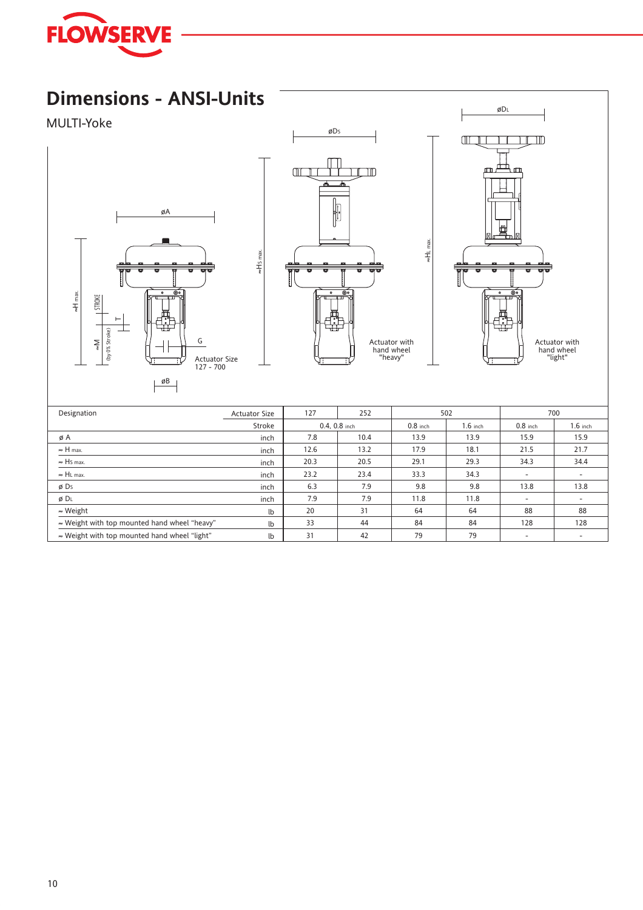

## **Dimensions - ANSI-Units**

#### MULTI-Yoke





≈HS max.



≈HL max.

| Designation                                          | <b>Actuator Size</b> | 127<br>252 |                 |            | 502        |                          | 700        |
|------------------------------------------------------|----------------------|------------|-----------------|------------|------------|--------------------------|------------|
|                                                      | Stroke               |            | $0.4, 0.8$ inch | $0.8$ inch | $1.6$ inch | $0.8$ inch               | $1.6$ inch |
| øΑ                                                   | inch                 | 7.8        | 10.4            | 13.9       | 13.9       | 15.9                     | 15.9       |
| $\approx$ H max.                                     | inch                 | 12.6       | 13.2            | 17.9       | 18.1       | 21.5                     | 21.7       |
| $\approx$ Hs max.                                    | inch                 | 20.3       | 20.5            | 29.1       | 29.3       | 34.3                     | 34.4       |
| $\approx$ HL max.                                    | inch                 | 23.2       | 23.4            | 33.3       | 34.3       |                          |            |
| ø Ds                                                 | inch                 | 6.3        | 7.9             | 9.8        | 9.8        | 13.8                     | 13.8       |
| Ø DL                                                 | inch                 | 7.9        | 7.9             | 11.8       | 11.8       | $\overline{\phantom{a}}$ | ۰          |
| $\approx$ Weight                                     | lb                   | 20         | 31              | 64         | 64         | 88                       | 88         |
| $\approx$ Weight with top mounted hand wheel "heavy" | lb                   | 33         | 44              | 84         | 84         | 128                      | 128        |
| $\approx$ Weight with top mounted hand wheel "light" | lb                   | 31         | 42              | 79         | 79         |                          |            |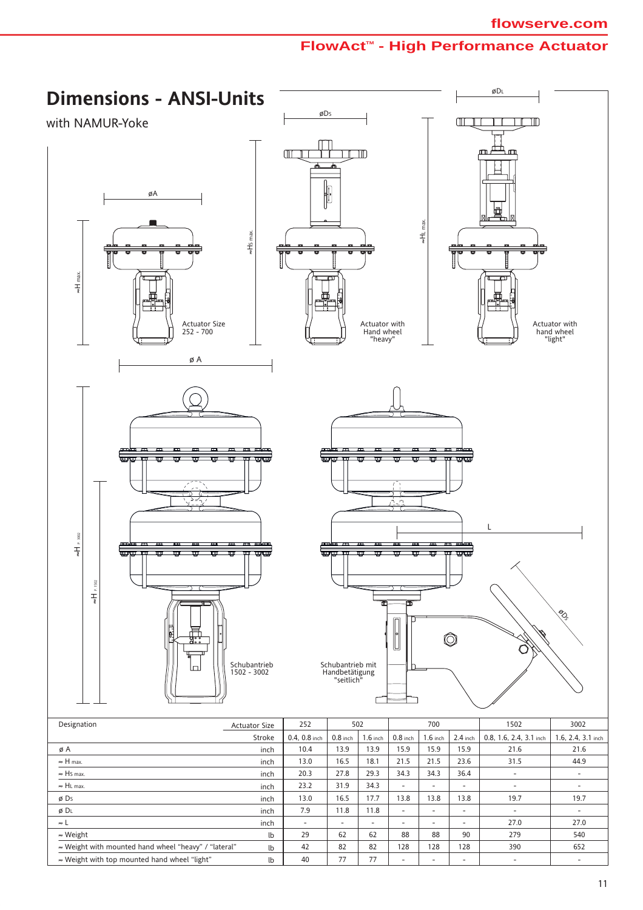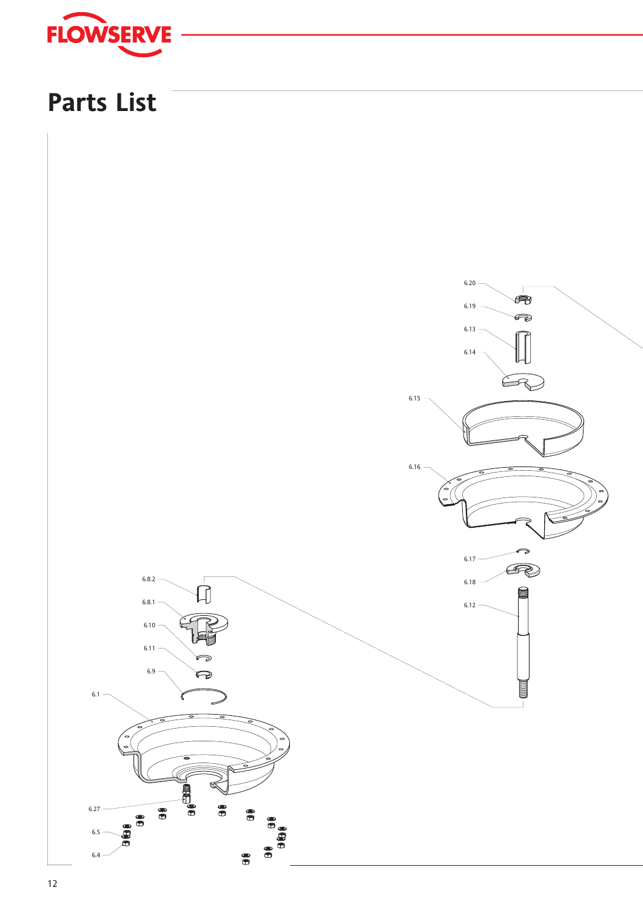

# **Parts List**

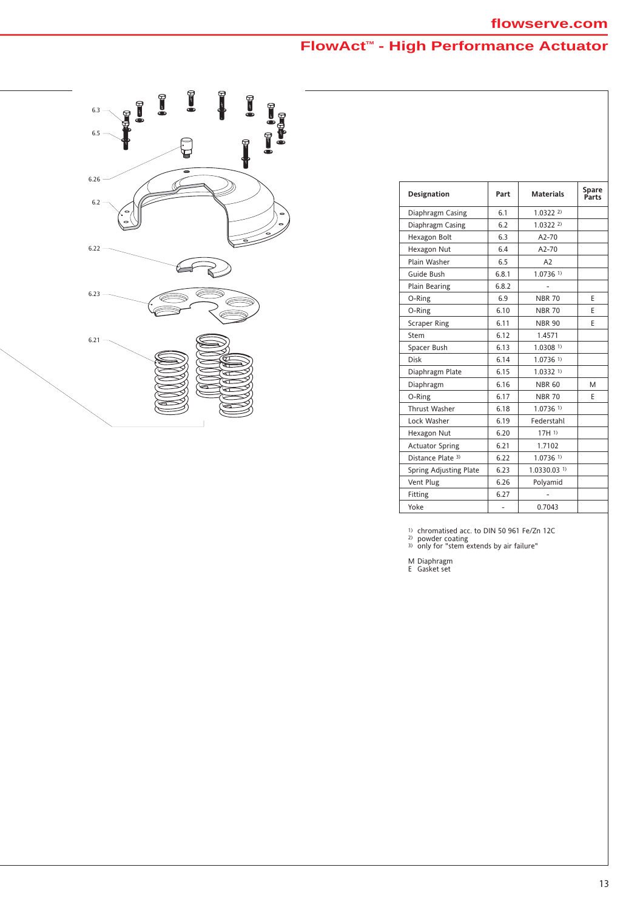

| Designation            | Part  | <b>Materials</b>       | Spare<br>Parts |
|------------------------|-------|------------------------|----------------|
| Diaphragm Casing       | 6.1   | 1.032222               |                |
| Diaphragm Casing       | 6.2   | 1.032222               |                |
| Hexagon Bolt           | 6.3   | $A2 - 70$              |                |
| Hexagon Nut            | 6.4   | $A2-70$                |                |
| Plain Washer           | 6.5   | A <sub>2</sub>         |                |
| Guide Bush             | 6.8.1 | $1.0736$ <sup>1)</sup> |                |
| <b>Plain Bearing</b>   | 6.8.2 |                        |                |
| O-Ring                 | 6.9   | <b>NBR 70</b>          | F              |
| O-Ring                 | 6.10  | <b>NBR 70</b>          | F              |
| <b>Scraper Ring</b>    | 6.11  | <b>NBR 90</b>          | F              |
| Stem                   | 6.12  | 1.4571                 |                |
| Spacer Bush            | 6.13  | 1.03081                |                |
| Disk                   | 6.14  | $1.0736$ <sup>1)</sup> |                |
| Diaphragm Plate        | 6.15  | 1.03321                |                |
| Diaphragm              | 6.16  | <b>NBR 60</b>          | M              |
| O-Ring                 | 6.17  | <b>NBR 70</b>          | F              |
| Thrust Washer          | 6.18  | $1.0736$ <sup>1)</sup> |                |
| Lock Washer            | 6.19  | Federstahl             |                |
| Hexagon Nut            | 6.20  | 17H1                   |                |
| <b>Actuator Spring</b> | 6.21  | 1.7102                 |                |
| Distance Plate 3)      | 6.22  | 1.07361                |                |
| Spring Adjusting Plate | 6.23  | 1.0330.031             |                |
| Vent Plug              | 6.26  | Polyamid               |                |
| Fitting                | 6.27  |                        |                |
| Yoke                   |       | 0.7043                 |                |

<sup>1)</sup> chromatised acc. to DIN 50 961 Fe/Zn 12C<br><sup>2)</sup> powder coating<br><sup>3)</sup> only for "stem extends by air failure"

M Diaphragm E Gasket set

13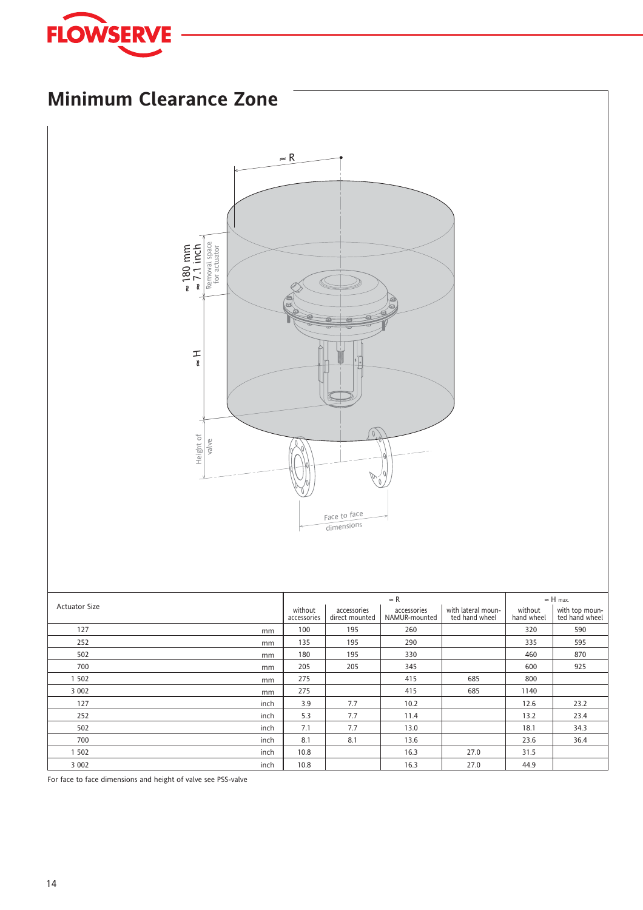



inch inch inch inch inch

5.3 7.1 8.1 10.8 10.8 7.7 7.7 8.1

11.4 13.0 13.6 16.3 16.3

27.0 27.0

13.2 18.1 23.6 31.5 44.9 23.4 34.3 36.4

For face to face dimensions and height of valve see PSS-valve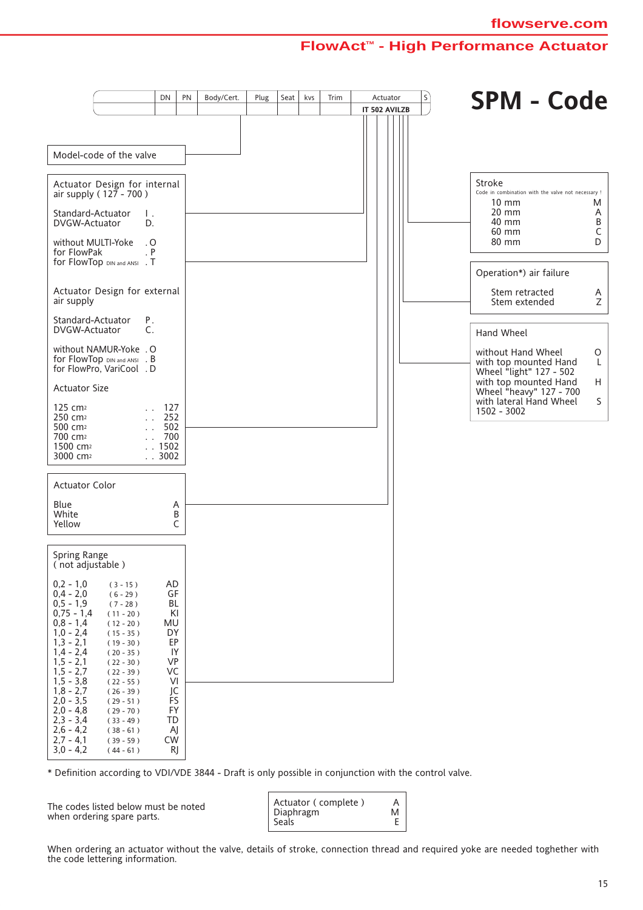|                                                                                     |                                                          | DN                          | PN          | Body/Cert. | Plug | Seat | kvs | Trim | Actuator      | $\mathsf{S}$ | <b>SPM - Code</b>                                                      |               |
|-------------------------------------------------------------------------------------|----------------------------------------------------------|-----------------------------|-------------|------------|------|------|-----|------|---------------|--------------|------------------------------------------------------------------------|---------------|
|                                                                                     |                                                          |                             |             |            |      |      |     |      | IT 502 AVILZB |              |                                                                        |               |
|                                                                                     |                                                          |                             |             |            |      |      |     |      |               |              |                                                                        |               |
| Model-code of the valve                                                             |                                                          |                             |             |            |      |      |     |      |               |              |                                                                        |               |
| Actuator Design for internal<br>air supply ( $127 - 700$ )                          |                                                          |                             |             |            |      |      |     |      |               |              | Stroke<br>Code in combination with the valve not necessary !<br>10 mm  | M             |
| Standard-Actuator<br>DVGW-Actuator                                                  | Ι.<br>D.                                                 |                             |             |            |      |      |     |      |               |              | $20 \text{ mm}$<br>40 mm<br>60 mm                                      | A<br>В<br>С   |
| without MULTI-Yoke<br>for FlowPak<br>for FlowTop DIN and ANSI . T                   | . 0<br>. P                                               |                             |             |            |      |      |     |      |               |              | 80 mm                                                                  | D             |
|                                                                                     |                                                          |                             |             |            |      |      |     |      |               |              | Operation*) air failure                                                |               |
| Actuator Design for external<br>air supply                                          |                                                          |                             |             |            |      |      |     |      |               |              | Stem retracted<br>Stem extended                                        | A<br>Ζ        |
| Standard-Actuator<br>DVGW-Actuator                                                  | Р.<br>C.                                                 |                             |             |            |      |      |     |      |               |              | Hand Wheel                                                             |               |
| without NAMUR-Yoke . O<br>for FlowTop DIN and ANSI . B<br>for FlowPro, VariCool . D |                                                          |                             |             |            |      |      |     |      |               |              | without Hand Wheel<br>with top mounted Hand<br>Wheel "light" 127 - 502 | $\circ$<br>L. |
| <b>Actuator Size</b>                                                                |                                                          |                             |             |            |      |      |     |      |               |              | with top mounted Hand<br>Wheel "heavy" 127 - 700                       | H             |
| 125 cm <sup>2</sup><br>250 cm <sup>2</sup><br>500 cm <sup>2</sup>                   |                                                          | 127<br>252<br>502           |             |            |      |      |     |      |               |              | with lateral Hand Wheel<br>1502 - 3002                                 | S.            |
| 700 cm <sup>2</sup><br>1500 cm <sup>2</sup><br>3000 cm <sup>2</sup>                 |                                                          | 700<br>. 1502<br>. . 3002   |             |            |      |      |     |      |               |              |                                                                        |               |
| <b>Actuator Color</b>                                                               |                                                          |                             |             |            |      |      |     |      |               |              |                                                                        |               |
| Blue<br>White<br>Yellow                                                             |                                                          |                             | Α<br>B<br>C |            |      |      |     |      |               |              |                                                                        |               |
| Spring Range<br>(not adjustable)                                                    |                                                          |                             |             |            |      |      |     |      |               |              |                                                                        |               |
| $0,2 - 1,0$<br>$0,4 - 2,0$<br>$0,5 - 1,9$<br>$0,75 - 1,4$                           | $(3 - 15)$<br>$(6 - 29)$<br>$(7 - 28)$<br>$(11 - 20)$    | <b>AD</b><br>GF<br>BL<br>KI |             |            |      |      |     |      |               |              |                                                                        |               |
| $0,8 - 1,4$<br>$1,0 - 2,4$<br>$1,3 - 2,1$                                           | $(12 - 20)$<br>$(15 - 35)$<br>$(19 - 30)$                | MU<br>DY<br>EP              |             |            |      |      |     |      |               |              |                                                                        |               |
| $1,4 - 2,4$<br>$1, 5 - 2, 1$<br>$1,5 - 2,7$<br>$1,5 - 3,8$                          | $(20 - 35)$<br>$(22 - 30)$<br>$(22 - 39)$<br>$(22 - 55)$ | IY<br><b>VP</b><br>VC<br>VI |             |            |      |      |     |      |               |              |                                                                        |               |
| $1,8 - 2,7$<br>$2,0 - 3,5$<br>$2,0 - 4,8$                                           | $(26 - 39)$<br>$(29 - 51)$<br>$(29 - 70)$                | JC<br>FS<br>FY              |             |            |      |      |     |      |               |              |                                                                        |               |
| $2,3 - 3,4$<br>$2,6 - 4,2$<br>$2,7 - 4,1$                                           | $(33 - 49)$<br>$(38 - 61)$<br>$(39 - 59)$                | TD<br>AJ<br>CW              |             |            |      |      |     |      |               |              |                                                                        |               |
| $3,0 - 4,2$                                                                         | $(44 - 61)$                                              |                             | RJ          |            |      |      |     |      |               |              |                                                                        |               |

\* Definition according to VDI/VDE 3844 - Draft is only possible in conjunction with the control valve.

The codes listed below must be noted when ordering spare parts.



When ordering an actuator without the valve, details of stroke, connection thread and required yoke are needed toghether with the code lettering information.